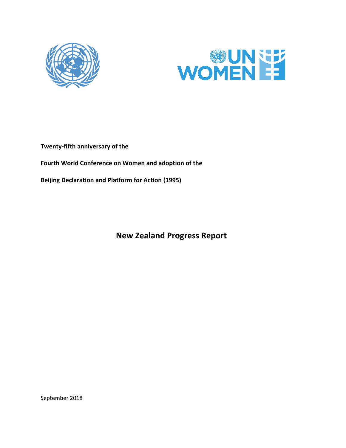



**Twenty‐fifth anniversary of the** 

**Fourth World Conference on Women and adoption of the** 

**Beijing Declaration and Platform for Action (1995)** 

 **New Zealand Progress Report** 

September 2018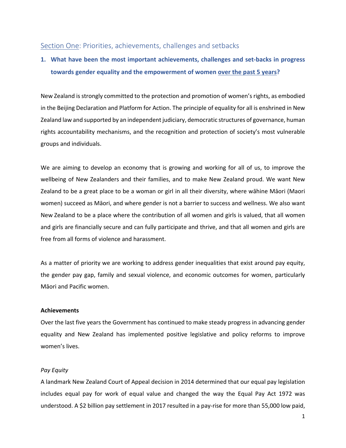## Section One: Priorities, achievements, challenges and setbacks

# **1. What have been the most important achievements, challenges and set‐backs in progress towards gender equality and the empowerment of women over the past 5 years?**

New Zealand is strongly committed to the protection and promotion of women's rights, as embodied in the Beijing Declaration and Platform for Action. The principle of equality for all is enshrined in New Zealand law and supported by an independent judiciary, democratic structures of governance, human rights accountability mechanisms, and the recognition and protection of society's most vulnerable groups and individuals.

We are aiming to develop an economy that is growing and working for all of us, to improve the wellbeing of New Zealanders and their families, and to make New Zealand proud. We want New Zealand to be a great place to be a woman or girl in all their diversity, where wāhine Māori (Maori women) succeed as Māori, and where gender is not a barrier to success and wellness. We also want New Zealand to be a place where the contribution of all women and girls is valued, that all women and girls are financially secure and can fully participate and thrive, and that all women and girls are free from all forms of violence and harassment.

As a matter of priority we are working to address gender inequalities that exist around pay equity, the gender pay gap, family and sexual violence, and economic outcomes for women, particularly Māori and Pacific women.

### **Achievements**

Over the last five years the Government has continued to make steady progress in advancing gender equality and New Zealand has implemented positive legislative and policy reforms to improve women's lives.

## *Pay Equity*

A landmark New Zealand Court of Appeal decision in 2014 determined that our equal pay legislation includes equal pay for work of equal value and changed the way the Equal Pay Act 1972 was understood. A \$2 billion pay settlement in 2017 resulted in a pay‐rise for more than 55,000 low paid,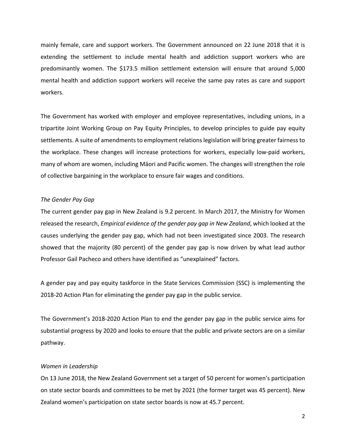mainly female, care and support workers. The Government announced on 22 June 2018 that it is extending the settlement to include mental health and addiction support workers who are predominantly women. The \$173.5 million settlement extension will ensure that around 5,000 mental health and addiction support workers will receive the same pay rates as care and support workers.

The Government has worked with employer and employee representatives, including unions, in a tripartite Joint Working Group on Pay Equity Principles, to develop principles to guide pay equity settlements. A suite of amendments to employment relations legislation will bring greater fairness to the workplace. These changes will increase protections for workers, especially low‐paid workers, many of whom are women, including Māori and Pacific women. The changes will strengthen the role of collective bargaining in the workplace to ensure fair wages and conditions.

#### *The Gender Pay Gap*

The current gender pay gap in New Zealand is 9.2 percent. In March 2017, the Ministry for Women released the research, *Empirical evidence of the gender pay gap in New Zealand*, which looked at the causes underlying the gender pay gap, which had not been investigated since 2003. The research showed that the majority (80 percent) of the gender pay gap is now driven by what lead author Professor Gail Pacheco and others have identified as "unexplained" factors.

A gender pay and pay equity taskforce in the State Services Commission (SSC) is implementing the 2018‐20 Action Plan for eliminating the gender pay gap in the public service.

The Government's 2018‐2020 Action Plan to end the gender pay gap in the public service aims for substantial progress by 2020 and looks to ensure that the public and private sectors are on a similar pathway.

### *Women in Leadership*

On 13 June 2018, the New Zealand Government set a target of 50 percent for women's participation on state sector boards and committees to be met by 2021 (the former target was 45 percent). New Zealand women's participation on state sector boards is now at 45.7 percent.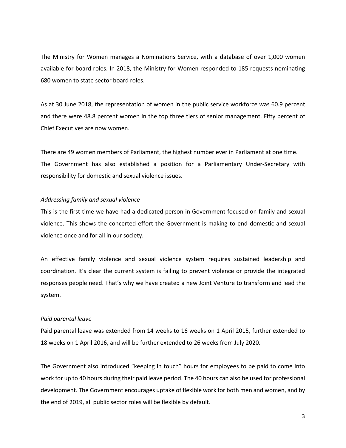The Ministry for Women manages a Nominations Service, with a database of over 1,000 women available for board roles. In 2018, the Ministry for Women responded to 185 requests nominating 680 women to state sector board roles.

As at 30 June 2018, the representation of women in the public service workforce was 60.9 percent and there were 48.8 percent women in the top three tiers of senior management. Fifty percent of Chief Executives are now women.

There are 49 women members of Parliament, the highest number ever in Parliament at one time. The Government has also established a position for a Parliamentary Under-Secretary with responsibility for domestic and sexual violence issues.

### *Addressing family and sexual violence*

This is the first time we have had a dedicated person in Government focused on family and sexual violence. This shows the concerted effort the Government is making to end domestic and sexual violence once and for all in our society.

An effective family violence and sexual violence system requires sustained leadership and coordination. It's clear the current system is failing to prevent violence or provide the integrated responses people need. That's why we have created a new Joint Venture to transform and lead the system.

#### *Paid parental leave*

Paid parental leave was extended from 14 weeks to 16 weeks on 1 April 2015, further extended to 18 weeks on 1 April 2016, and will be further extended to 26 weeks from July 2020.

The Government also introduced "keeping in touch" hours for employees to be paid to come into work for up to 40 hours during their paid leave period. The 40 hours can also be used for professional development. The Government encourages uptake of flexible work for both men and women, and by the end of 2019, all public sector roles will be flexible by default.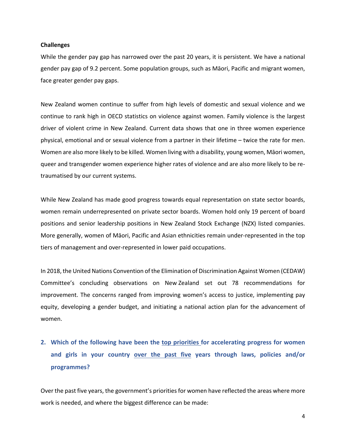#### **Challenges**

While the gender pay gap has narrowed over the past 20 years, it is persistent. We have a national gender pay gap of 9.2 percent. Some population groups, such as Māori, Pacific and migrant women, face greater gender pay gaps.

New Zealand women continue to suffer from high levels of domestic and sexual violence and we continue to rank high in OECD statistics on violence against women. Family violence is the largest driver of violent crime in New Zealand. Current data shows that one in three women experience physical, emotional and or sexual violence from a partner in their lifetime – twice the rate for men. Women are also more likely to be killed. Women living with a disability, young women, Māori women, queer and transgender women experience higher rates of violence and are also more likely to be re‐ traumatised by our current systems.

While New Zealand has made good progress towards equal representation on state sector boards, women remain underrepresented on private sector boards. Women hold only 19 percent of board positions and senior leadership positions in New Zealand Stock Exchange (NZX) listed companies. More generally, women of Māori, Pacific and Asian ethnicities remain under‐represented in the top tiers of management and over‐represented in lower paid occupations.

In 2018, the United Nations Convention of the Elimination of Discrimination Against Women (CEDAW) Committee's concluding observations on New Zealand set out 78 recommendations for improvement. The concerns ranged from improving women's access to justice, implementing pay equity, developing a gender budget, and initiating a national action plan for the advancement of women.

# **2. Which of the following have been the top priorities for accelerating progress for women and girls in your country over the past five years through laws, policies and/or programmes?**

Over the past five years, the government's priorities for women have reflected the areas where more work is needed, and where the biggest difference can be made: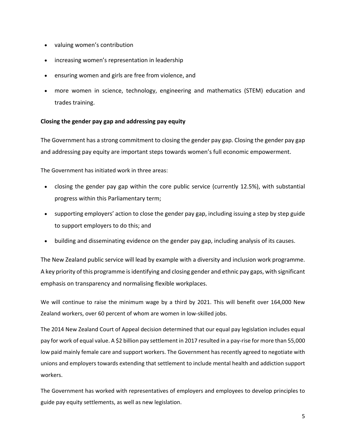- valuing women's contribution
- increasing women's representation in leadership
- ensuring women and girls are free from violence, and
- more women in science, technology, engineering and mathematics (STEM) education and trades training.

## **Closing the gender pay gap and addressing pay equity**

The Government has a strong commitment to closing the gender pay gap. Closing the gender pay gap and addressing pay equity are important steps towards women's full economic empowerment.

The Government has initiated work in three areas:

- closing the gender pay gap within the core public service (currently 12.5%), with substantial progress within this Parliamentary term;
- supporting employers' action to close the gender pay gap, including issuing a step by step guide to support employers to do this; and
- building and disseminating evidence on the gender pay gap, including analysis of its causes.

The New Zealand public service will lead by example with a diversity and inclusion work programme. A key priority of this programme is identifying and closing gender and ethnic pay gaps, with significant emphasis on transparency and normalising flexible workplaces.

We will continue to raise the minimum wage by a third by 2021. This will benefit over 164,000 New Zealand workers, over 60 percent of whom are women in low‐skilled jobs.

The 2014 New Zealand Court of Appeal decision determined that our equal pay legislation includes equal pay for work of equal value. A \$2 billion pay settlement in 2017 resulted in a pay‐rise for more than 55,000 low paid mainly female care and support workers. The Government has recently agreed to negotiate with unions and employers towards extending that settlement to include mental health and addiction support workers.

The Government has worked with representatives of employers and employees to develop principles to guide pay equity settlements, as well as new legislation.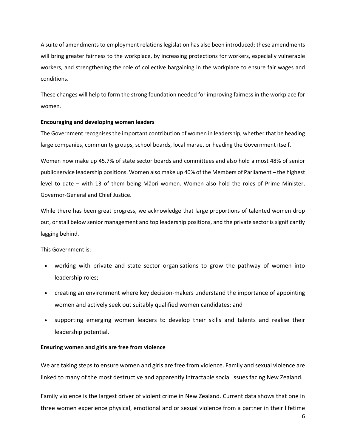A suite of amendments to employment relations legislation has also been introduced; these amendments will bring greater fairness to the workplace, by increasing protections for workers, especially vulnerable workers, and strengthening the role of collective bargaining in the workplace to ensure fair wages and conditions.

These changes will help to form the strong foundation needed for improving fairness in the workplace for women.

## **Encouraging and developing women leaders**

The Government recognises the important contribution of women in leadership, whether that be heading large companies, community groups, school boards, local marae, or heading the Government itself.

Women now make up 45.7% of state sector boards and committees and also hold almost 48% of senior public service leadership positions. Women also make up 40% of the Members of Parliament – the highest level to date – with 13 of them being Māori women. Women also hold the roles of Prime Minister, Governor‐General and Chief Justice.

While there has been great progress, we acknowledge that large proportions of talented women drop out, or stall below senior management and top leadership positions, and the private sector is significantly lagging behind.

This Government is:

- working with private and state sector organisations to grow the pathway of women into leadership roles;
- creating an environment where key decision-makers understand the importance of appointing women and actively seek out suitably qualified women candidates; and
- supporting emerging women leaders to develop their skills and talents and realise their leadership potential.

### **Ensuring women and girls are free from violence**

We are taking steps to ensure women and girls are free from violence. Family and sexual violence are linked to many of the most destructive and apparently intractable social issues facing New Zealand.

Family violence is the largest driver of violent crime in New Zealand. Current data shows that one in three women experience physical, emotional and or sexual violence from a partner in their lifetime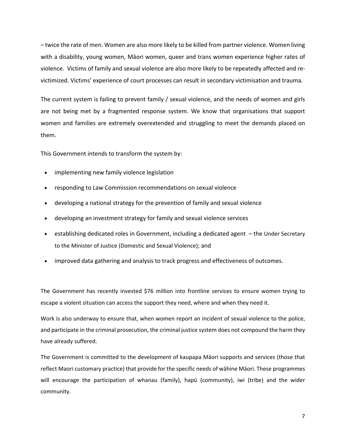– twice the rate of men. Women are also more likely to be killed from partner violence. Women living with a disability, young women, Māori women, queer and trans women experience higher rates of violence. Victims of family and sexual violence are also more likely to be repeatedly affected and re‐ victimized. Victims' experience of court processes can result in secondary victimisation and trauma.

The current system is failing to prevent family / sexual violence, and the needs of women and girls are not being met by a fragmented response system. We know that organisations that support women and families are extremely overextended and struggling to meet the demands placed on them.

This Government intends to transform the system by:

- implementing new family violence legislation
- responding to Law Commission recommendations on sexual violence
- developing a national strategy for the prevention of family and sexual violence
- developing an investment strategy for family and sexual violence services
- establishing dedicated roles in Government, including a dedicated agent the Under Secretary to the Minister of Justice (Domestic and Sexual Violence); and
- improved data gathering and analysis to track progress and effectiveness of outcomes.

The Government has recently invested \$76 million into frontline services to ensure women trying to escape a violent situation can access the support they need, where and when they need it.

Work is also underway to ensure that, when women report an incident of sexual violence to the police, and participate in the criminal prosecution, the criminal justice system does not compound the harm they have already suffered.

The Government is committed to the development of kaupapa Māori supports and services (those that reflect Maori customary practice) that provide for the specific needs of wāhine Māori. These programmes will encourage the participation of whanau (family), hapū (community), iwi (tribe) and the wider community.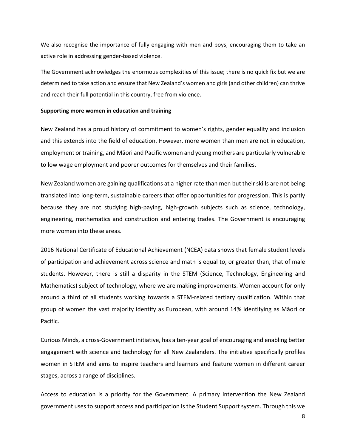We also recognise the importance of fully engaging with men and boys, encouraging them to take an active role in addressing gender‐based violence.

The Government acknowledges the enormous complexities of this issue; there is no quick fix but we are determined to take action and ensure that New Zealand's women and girls (and other children) can thrive and reach their full potential in this country, free from violence.

#### **Supporting more women in education and training**

New Zealand has a proud history of commitment to women's rights, gender equality and inclusion and this extends into the field of education. However, more women than men are not in education, employment or training, and Māori and Pacific women and young mothers are particularly vulnerable to low wage employment and poorer outcomes for themselves and their families.

New Zealand women are gaining qualifications at a higher rate than men but their skills are not being translated into long‐term, sustainable careers that offer opportunities for progression. This is partly because they are not studying high-paying, high-growth subjects such as science, technology, engineering, mathematics and construction and entering trades. The Government is encouraging more women into these areas.

2016 National Certificate of Educational Achievement (NCEA) data shows that female student levels of participation and achievement across science and math is equal to, or greater than, that of male students. However, there is still a disparity in the STEM (Science, Technology, Engineering and Mathematics) subject of technology, where we are making improvements. Women account for only around a third of all students working towards a STEM‐related tertiary qualification. Within that group of women the vast majority identify as European, with around 14% identifying as Māori or Pacific.

Curious Minds, a cross‐Government initiative, has a ten‐year goal of encouraging and enabling better engagement with science and technology for all New Zealanders. The initiative specifically profiles women in STEM and aims to inspire teachers and learners and feature women in different career stages, across a range of disciplines.

Access to education is a priority for the Government. A primary intervention the New Zealand government uses to support access and participation is the Student Support system. Through this we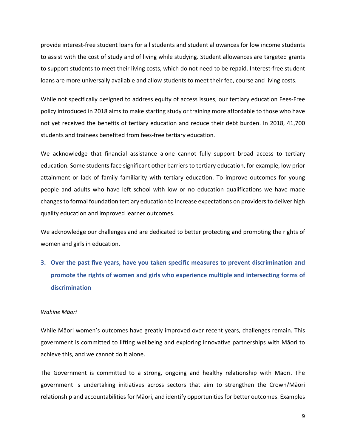provide interest‐free student loans for all students and student allowances for low income students to assist with the cost of study and of living while studying. Student allowances are targeted grants to support students to meet their living costs, which do not need to be repaid. Interest-free student loans are more universally available and allow students to meet their fee, course and living costs.

While not specifically designed to address equity of access issues, our tertiary education Fees‐Free policy introduced in 2018 aims to make starting study or training more affordable to those who have not yet received the benefits of tertiary education and reduce their debt burden. In 2018, 41,700 students and trainees benefited from fees‐free tertiary education.

We acknowledge that financial assistance alone cannot fully support broad access to tertiary education. Some students face significant other barriers to tertiary education, for example, low prior attainment or lack of family familiarity with tertiary education. To improve outcomes for young people and adults who have left school with low or no education qualifications we have made changes to formal foundation tertiary education to increase expectations on providers to deliver high quality education and improved learner outcomes.

We acknowledge our challenges and are dedicated to better protecting and promoting the rights of women and girls in education.

**3. Over the past five years, have you taken specific measures to prevent discrimination and promote the rights of women and girls who experience multiple and intersecting forms of discrimination** 

#### *Wahine Māori*

While Māori women's outcomes have greatly improved over recent years, challenges remain. This government is committed to lifting wellbeing and exploring innovative partnerships with Māori to achieve this, and we cannot do it alone.

The Government is committed to a strong, ongoing and healthy relationship with Māori. The government is undertaking initiatives across sectors that aim to strengthen the Crown/Māori relationship and accountabilities for Māori, and identify opportunities for better outcomes. Examples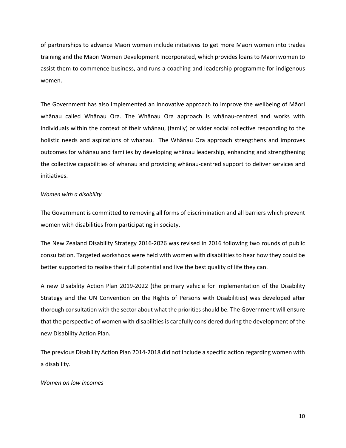of partnerships to advance Māori women include initiatives to get more Māori women into trades training and the Māori Women Development Incorporated, which provides loans to Māori women to assist them to commence business, and runs a coaching and leadership programme for indigenous women.

The Government has also implemented an innovative approach to improve the wellbeing of Māori whānau called Whānau Ora. The Whānau Ora approach is whānau-centred and works with individuals within the context of their whānau, (family) or wider social collective responding to the holistic needs and aspirations of whanau. The Whānau Ora approach strengthens and improves outcomes for whānau and families by developing whānau leadership, enhancing and strengthening the collective capabilities of whanau and providing whānau‐centred support to deliver services and initiatives.

### *Women with a disability*

The Government is committed to removing all forms of discrimination and all barriers which prevent women with disabilities from participating in society.

The New Zealand Disability Strategy 2016‐2026 was revised in 2016 following two rounds of public consultation. Targeted workshops were held with women with disabilities to hear how they could be better supported to realise their full potential and live the best quality of life they can.

A new Disability Action Plan 2019‐2022 (the primary vehicle for implementation of the Disability Strategy and the UN Convention on the Rights of Persons with Disabilities) was developed after thorough consultation with the sector about what the priorities should be. The Government will ensure that the perspective of women with disabilities is carefully considered during the development of the new Disability Action Plan.

The previous Disability Action Plan 2014‐2018 did not include a specific action regarding women with a disability.

## *Women on low incomes*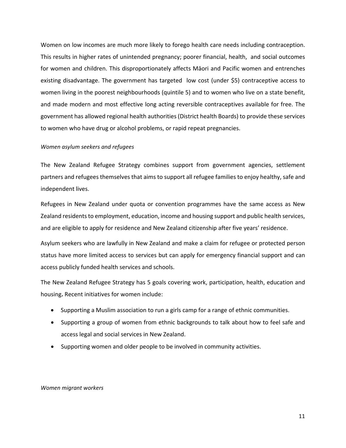Women on low incomes are much more likely to forego health care needs including contraception. This results in higher rates of unintended pregnancy; poorer financial, health, and social outcomes for women and children. This disproportionately affects Māori and Pacific women and entrenches existing disadvantage. The government has targeted low cost (under \$5) contraceptive access to women living in the poorest neighbourhoods (quintile 5) and to women who live on a state benefit, and made modern and most effective long acting reversible contraceptives available for free. The government has allowed regional health authorities (District health Boards) to provide these services to women who have drug or alcohol problems, or rapid repeat pregnancies.

#### *Women asylum seekers and refugees*

The New Zealand Refugee Strategy combines support from government agencies, settlement partners and refugees themselves that aims to support all refugee families to enjoy healthy, safe and independent lives.

Refugees in New Zealand under quota or convention programmes have the same access as New Zealand residents to employment, education, income and housing support and public health services, and are eligible to apply for residence and New Zealand citizenship after five years' residence.

Asylum seekers who are lawfully in New Zealand and make a claim for refugee or protected person status have more limited access to services but can apply for emergency financial support and can access publicly funded health services and schools.

The New Zealand Refugee Strategy has 5 goals covering work, participation, health, education and housing**.** Recent initiatives for women include:

- Supporting a Muslim association to run a girls camp for a range of ethnic communities.
- Supporting a group of women from ethnic backgrounds to talk about how to feel safe and access legal and social services in New Zealand.
- Supporting women and older people to be involved in community activities.

#### *Women migrant workers*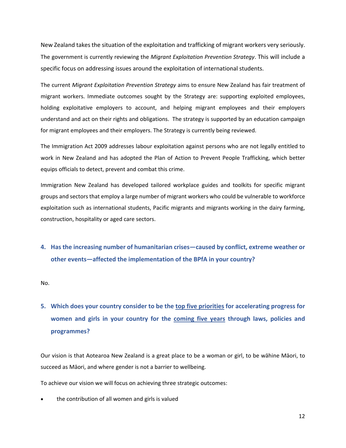New Zealand takes the situation of the exploitation and trafficking of migrant workers very seriously. The government is currently reviewing the *Migrant Exploitation Prevention Strategy*. This will include a specific focus on addressing issues around the exploitation of international students.

The current *Migrant Exploitation Prevention Strategy* aims to ensure New Zealand has fair treatment of migrant workers. Immediate outcomes sought by the Strategy are: supporting exploited employees, holding exploitative employers to account, and helping migrant employees and their employers understand and act on their rights and obligations. The strategy is supported by an education campaign for migrant employees and their employers. The Strategy is currently being reviewed.

The Immigration Act 2009 addresses labour exploitation against persons who are not legally entitled to work in New Zealand and has adopted the Plan of Action to Prevent People Trafficking, which better equips officials to detect, prevent and combat this crime.

Immigration New Zealand has developed tailored workplace guides and toolkits for specific migrant groups and sectors that employ a large number of migrant workers who could be vulnerable to workforce exploitation such as international students, Pacific migrants and migrants working in the dairy farming, construction, hospitality or aged care sectors.

## **4. Has the increasing number of humanitarian crises—caused by conflict, extreme weather or other events—affected the implementation of the BPfA in your country?**

No.

**5. Which does your country consider to be the top five priorities for accelerating progress for women and girls in your country for the coming five years through laws, policies and programmes?** 

Our vision is that Aotearoa New Zealand is a great place to be a woman or girl, to be wāhine Māori, to succeed as Māori, and where gender is not a barrier to wellbeing.

To achieve our vision we will focus on achieving three strategic outcomes:

the contribution of all women and girls is valued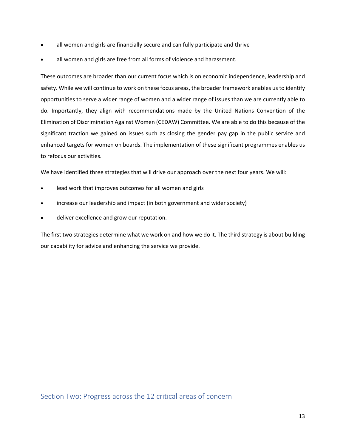- all women and girls are financially secure and can fully participate and thrive
- all women and girls are free from all forms of violence and harassment.

These outcomes are broader than our current focus which is on economic independence, leadership and safety. While we will continue to work on these focus areas, the broader framework enables us to identify opportunities to serve a wider range of women and a wider range of issues than we are currently able to do. Importantly, they align with recommendations made by the United Nations Convention of the Elimination of Discrimination Against Women (CEDAW) Committee. We are able to do this because of the significant traction we gained on issues such as closing the gender pay gap in the public service and enhanced targets for women on boards. The implementation of these significant programmes enables us to refocus our activities.

We have identified three strategies that will drive our approach over the next four years. We will:

- lead work that improves outcomes for all women and girls
- increase our leadership and impact (in both government and wider society)
- deliver excellence and grow our reputation.

The first two strategies determine what we work on and how we do it. The third strategy is about building our capability for advice and enhancing the service we provide.

Section Two: Progress across the 12 critical areas of concern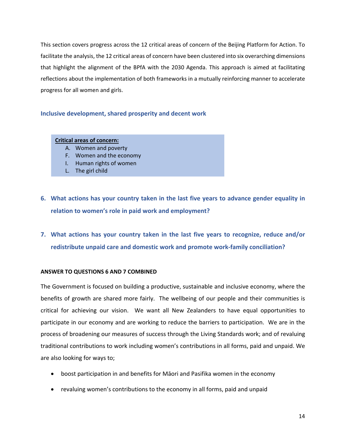This section covers progress across the 12 critical areas of concern of the Beijing Platform for Action. To facilitate the analysis, the 12 critical areas of concern have been clustered into six overarching dimensions that highlight the alignment of the BPfA with the 2030 Agenda. This approach is aimed at facilitating reflections about the implementation of both frameworks in a mutually reinforcing manner to accelerate progress for all women and girls.

## **Inclusive development, shared prosperity and decent work**

#### **Critical areas of concern:**

- A. Women and poverty
- F. Women and the economy
- I. Human rights of women
- L. The girl child
- **6. What actions has your country taken in the last five years to advance gender equality in relation to women's role in paid work and employment?**
- **7. What actions has your country taken in the last five years to recognize, reduce and/or redistribute unpaid care and domestic work and promote work‐family conciliation?**

### **ANSWER TO QUESTIONS 6 AND 7 COMBINED**

The Government is focused on building a productive, sustainable and inclusive economy, where the benefits of growth are shared more fairly. The wellbeing of our people and their communities is critical for achieving our vision. We want all New Zealanders to have equal opportunities to participate in our economy and are working to reduce the barriers to participation. We are in the process of broadening our measures of success through the Living Standards work; and of revaluing traditional contributions to work including women's contributions in all forms, paid and unpaid. We are also looking for ways to;

- boost participation in and benefits for Māori and Pasifika women in the economy
- revaluing women's contributions to the economy in all forms, paid and unpaid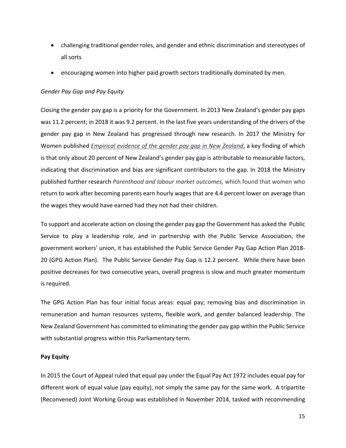- challenging traditional gender roles, and gender and ethnic discrimination and stereotypes of all sorts
- encouraging women into higher paid growth sectors traditionally dominated by men.

## *Gender Pay Gap and Pay Equity*

Closing the gender pay gap is a priority for the Government. In 2013 New Zealand's gender pay gaps was 11.2 percent; in 2018 it was 9.2 percent. In the last five years understanding of the drivers of the gender pay gap in New Zealand has progressed through new research. In 2017 the Ministry for Women published *Empirical evidence of the gender pay gap in New Zealand*, a key finding of which is that only about 20 percent of New Zealand's gender pay gap is attributable to measurable factors, indicating that discrimination and bias are significant contributors to the gap. In 2018 the Ministry published further research *Parenthood and labour market outcomes,* which found that women who return to work after becoming parents earn hourly wages that are 4.4 percent lower on average than the wages they would have earned had they not had their children.

To support and accelerate action on closing the gender pay gap the Government has asked the Public Service to play a leadership role, and in partnership with the Public Service Association, the government workers' union, it has established the Public Service Gender Pay Gap Action Plan 2018‐ 20 (GPG Action Plan). The Public Service Gender Pay Gap is 12.2 percent. While there have been positive decreases for two consecutive years, overall progress is slow and much greater momentum is required.

The GPG Action Plan has four initial focus areas: equal pay; removing bias and discrimination in remuneration and human resources systems, flexible work, and gender balanced leadership. The New Zealand Government has committed to eliminating the gender pay gap within the Public Service with substantial progress within this Parliamentary term.

## **Pay Equity**

In 2015 the Court of Appeal ruled that equal pay under the Equal Pay Act 1972 includes equal pay for different work of equal value (pay equity), not simply the same pay for the same work. A tripartite (Reconvened) Joint Working Group was established in November 2014, tasked with recommending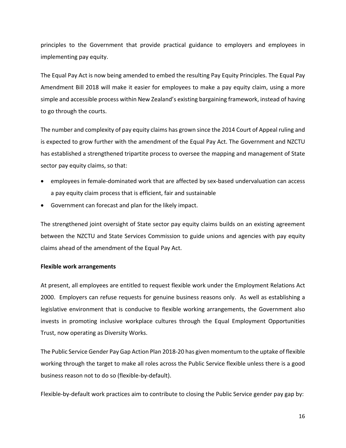principles to the Government that provide practical guidance to employers and employees in implementing pay equity.

The Equal Pay Act is now being amended to embed the resulting Pay Equity Principles. The Equal Pay Amendment Bill 2018 will make it easier for employees to make a pay equity claim, using a more simple and accessible process within New Zealand's existing bargaining framework, instead of having to go through the courts.

The number and complexity of pay equity claims has grown since the 2014 Court of Appeal ruling and is expected to grow further with the amendment of the Equal Pay Act. The Government and NZCTU has established a strengthened tripartite process to oversee the mapping and management of State sector pay equity claims, so that:

- employees in female‐dominated work that are affected by sex‐based undervaluation can access a pay equity claim process that is efficient, fair and sustainable
- Government can forecast and plan for the likely impact.

The strengthened joint oversight of State sector pay equity claims builds on an existing agreement between the NZCTU and State Services Commission to guide unions and agencies with pay equity claims ahead of the amendment of the Equal Pay Act.

## **Flexible work arrangements**

At present, all employees are entitled to request flexible work under the Employment Relations Act 2000. Employers can refuse requests for genuine business reasons only. As well as establishing a legislative environment that is conducive to flexible working arrangements, the Government also invests in promoting inclusive workplace cultures through the Equal Employment Opportunities Trust, now operating as Diversity Works.

The Public Service Gender Pay Gap Action Plan 2018‐20 has given momentum to the uptake of flexible working through the target to make all roles across the Public Service flexible unless there is a good business reason not to do so (flexible‐by‐default).

Flexible‐by‐default work practices aim to contribute to closing the Public Service gender pay gap by: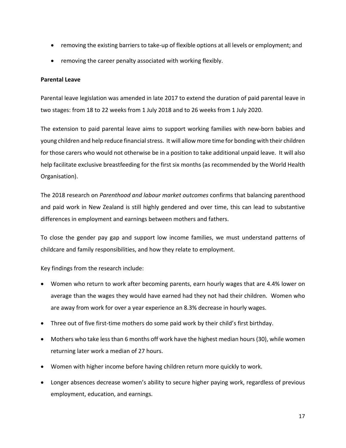- removing the existing barriers to take-up of flexible options at all levels or employment; and
- removing the career penalty associated with working flexibly.

## **Parental Leave**

Parental leave legislation was amended in late 2017 to extend the duration of paid parental leave in two stages: from 18 to 22 weeks from 1 July 2018 and to 26 weeks from 1 July 2020.

The extension to paid parental leave aims to support working families with new-born babies and young children and help reduce financial stress. It will allow more time for bonding with their children for those carers who would not otherwise be in a position to take additional unpaid leave. It will also help facilitate exclusive breastfeeding for the first six months (as recommended by the World Health Organisation).

The 2018 research on *Parenthood and labour market outcomes* confirms that balancing parenthood and paid work in New Zealand is still highly gendered and over time, this can lead to substantive differences in employment and earnings between mothers and fathers.

To close the gender pay gap and support low income families, we must understand patterns of childcare and family responsibilities, and how they relate to employment.

Key findings from the research include:

- Women who return to work after becoming parents, earn hourly wages that are 4.4% lower on average than the wages they would have earned had they not had their children. Women who are away from work for over a year experience an 8.3% decrease in hourly wages.
- Three out of five first-time mothers do some paid work by their child's first birthday.
- Mothers who take less than 6 months off work have the highest median hours (30), while women returning later work a median of 27 hours.
- Women with higher income before having children return more quickly to work.
- Longer absences decrease women's ability to secure higher paying work, regardless of previous employment, education, and earnings.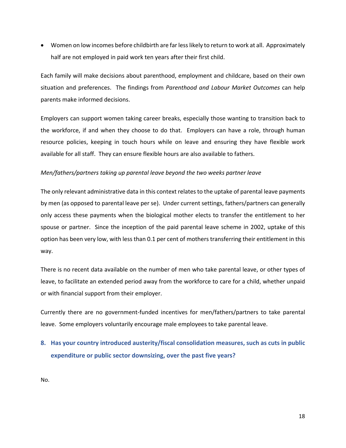Women on low incomes before childbirth are far less likely to return to work at all. Approximately half are not employed in paid work ten years after their first child.

Each family will make decisions about parenthood, employment and childcare, based on their own situation and preferences. The findings from *Parenthood and Labour Market Outcomes* can help parents make informed decisions.

Employers can support women taking career breaks, especially those wanting to transition back to the workforce, if and when they choose to do that. Employers can have a role, through human resource policies, keeping in touch hours while on leave and ensuring they have flexible work available for all staff. They can ensure flexible hours are also available to fathers.

## *Men/fathers/partners taking up parental leave beyond the two weeks partner leave*

The only relevant administrative data in this context relates to the uptake of parental leave payments by men (as opposed to parental leave per se). Under current settings, fathers/partners can generally only access these payments when the biological mother elects to transfer the entitlement to her spouse or partner. Since the inception of the paid parental leave scheme in 2002, uptake of this option has been very low, with less than 0.1 per cent of mothers transferring their entitlement in this way.

There is no recent data available on the number of men who take parental leave, or other types of leave, to facilitate an extended period away from the workforce to care for a child, whether unpaid or with financial support from their employer.

Currently there are no government‐funded incentives for men/fathers/partners to take parental leave. Some employers voluntarily encourage male employees to take parental leave.

**8. Has your country introduced austerity/fiscal consolidation measures, such as cuts in public expenditure or public sector downsizing, over the past five years?** 

No.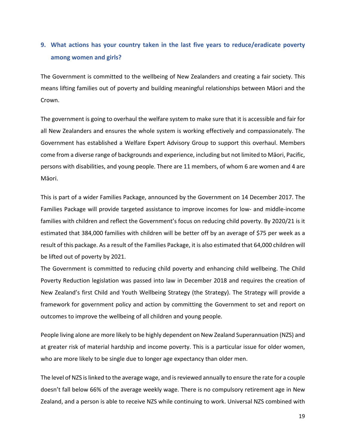# **9. What actions has your country taken in the last five years to reduce/eradicate poverty among women and girls?**

The Government is committed to the wellbeing of New Zealanders and creating a fair society. This means lifting families out of poverty and building meaningful relationships between Māori and the Crown.

The government is going to overhaul the welfare system to make sure that it is accessible and fair for all New Zealanders and ensures the whole system is working effectively and compassionately. The Government has established a Welfare Expert Advisory Group to support this overhaul. Members come from a diverse range of backgrounds and experience, including but not limited to Māori, Pacific, persons with disabilities, and young people. There are 11 members, of whom 6 are women and 4 are Māori.

This is part of a wider Families Package, announced by the Government on 14 December 2017. The Families Package will provide targeted assistance to improve incomes for low‐ and middle‐income families with children and reflect the Government's focus on reducing child poverty. By 2020/21 is it estimated that 384,000 families with children will be better off by an average of \$75 per week as a result of this package. As a result of the Families Package, it is also estimated that 64,000 children will be lifted out of poverty by 2021.

The Government is committed to reducing child poverty and enhancing child wellbeing. The Child Poverty Reduction legislation was passed into law in December 2018 and requires the creation of New Zealand's first Child and Youth Wellbeing Strategy (the Strategy). The Strategy will provide a framework for government policy and action by committing the Government to set and report on outcomes to improve the wellbeing of all children and young people.

People living alone are more likely to be highly dependent on New Zealand Superannuation (NZS) and at greater risk of material hardship and income poverty. This is a particular issue for older women, who are more likely to be single due to longer age expectancy than older men.

The level of NZS is linked to the average wage, and is reviewed annually to ensure the rate for a couple doesn't fall below 66% of the average weekly wage. There is no compulsory retirement age in New Zealand, and a person is able to receive NZS while continuing to work. Universal NZS combined with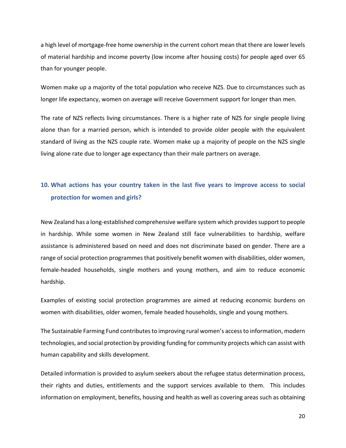a high level of mortgage‐free home ownership in the current cohort mean that there are lower levels of material hardship and income poverty (low income after housing costs) for people aged over 65 than for younger people.

Women make up a majority of the total population who receive NZS. Due to circumstances such as longer life expectancy, women on average will receive Government support for longer than men.

The rate of NZS reflects living circumstances. There is a higher rate of NZS for single people living alone than for a married person, which is intended to provide older people with the equivalent standard of living as the NZS couple rate. Women make up a majority of people on the NZS single living alone rate due to longer age expectancy than their male partners on average.

## **10. What actions has your country taken in the last five years to improve access to social protection for women and girls?**

New Zealand has a long‐established comprehensive welfare system which provides support to people in hardship. While some women in New Zealand still face vulnerabilities to hardship, welfare assistance is administered based on need and does not discriminate based on gender. There are a range of social protection programmes that positively benefit women with disabilities, older women, female-headed households, single mothers and young mothers, and aim to reduce economic hardship.

Examples of existing social protection programmes are aimed at reducing economic burdens on women with disabilities, older women, female headed households, single and young mothers.

The Sustainable Farming Fund contributes to improving rural women's access to information, modern technologies, and social protection by providing funding for community projects which can assist with human capability and skills development.

Detailed information is provided to asylum seekers about the refugee status determination process, their rights and duties, entitlements and the support services available to them. This includes information on employment, benefits, housing and health as well as covering areas such as obtaining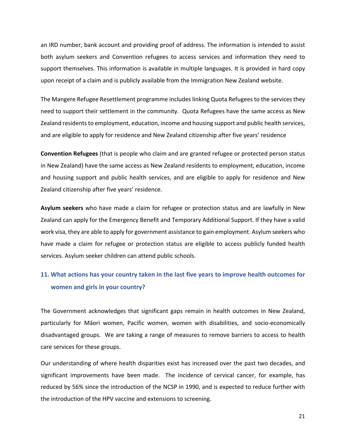an IRD number, bank account and providing proof of address. The information is intended to assist both asylum seekers and Convention refugees to access services and information they need to support themselves. This information is available in multiple languages. It is provided in hard copy upon receipt of a claim and is publicly available from the Immigration New Zealand website.

The Mangere Refugee Resettlement programme includes linking Quota Refugees to the services they need to support their settlement in the community. Quota Refugees have the same access as New Zealand residents to employment, education, income and housing support and public health services, and are eligible to apply for residence and New Zealand citizenship after five years' residence

**Convention Refugees** (that is people who claim and are granted refugee or protected person status in New Zealand) have the same access as New Zealand residents to employment, education, income and housing support and public health services, and are eligible to apply for residence and New Zealand citizenship after five years' residence.

Asylum seekers who have made a claim for refugee or protection status and are lawfully in New Zealand can apply for the Emergency Benefit and Temporary Additional Support. If they have a valid work visa, they are able to apply for government assistance to gain employment. Asylum seekers who have made a claim for refugee or protection status are eligible to access publicly funded health services. Asylum seeker children can attend public schools.

# **11. What actions has your country taken in the last five years to improve health outcomes for women and girls in your country?**

The Government acknowledges that significant gaps remain in health outcomes in New Zealand, particularly for Māori women, Pacific women, women with disabilities, and socio-economically disadvantaged groups. We are taking a range of measures to remove barriers to access to health care services for these groups.

Our understanding of where health disparities exist has increased over the past two decades, and significant improvements have been made. The incidence of cervical cancer, for example, has reduced by 56% since the introduction of the NCSP in 1990, and is expected to reduce further with the introduction of the HPV vaccine and extensions to screening.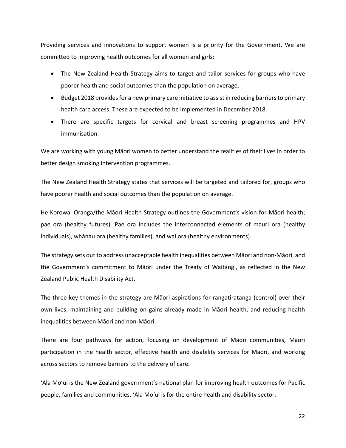Providing services and innovations to support women is a priority for the Government. We are committed to improving health outcomes for all women and girls:

- The New Zealand Health Strategy aims to target and tailor services for groups who have poorer health and social outcomes than the population on average.
- Budget 2018 provides for a new primary care initiative to assist in reducing barriers to primary health care access. These are expected to be implemented in December 2018.
- There are specific targets for cervical and breast screening programmes and HPV immunisation.

We are working with young Māori women to better understand the realities of their lives in order to better design smoking intervention programmes.

The New Zealand Health Strategy states that services will be targeted and tailored for, groups who have poorer health and social outcomes than the population on average.

He Korowai Oranga/the Māori Health Strategy outlines the Government's vision for Māori health; pae ora (healthy futures). Pae ora includes the interconnected elements of mauri ora (healthy individuals), whānau ora (healthy families), and wai ora (healthy environments).

The strategy sets out to address unacceptable health inequalities between Māori and non‐Māori, and the Government's commitment to Māori under the Treaty of Waitangi, as reflected in the New Zealand Public Health Disability Act.

The three key themes in the strategy are Māori aspirations for rangatiratanga (control) over their own lives, maintaining and building on gains already made in Māori health, and reducing health inequalities between Māori and non‐Māori.

There are four pathways for action, focusing on development of Māori communities, Māori participation in the health sector, effective health and disability services for Māori, and working across sectors to remove barriers to the delivery of care.

'Ala Mo'ui is the New Zealand government's national plan for improving health outcomes for Pacific people, families and communities. 'Ala Mo'ui is for the entire health and disability sector.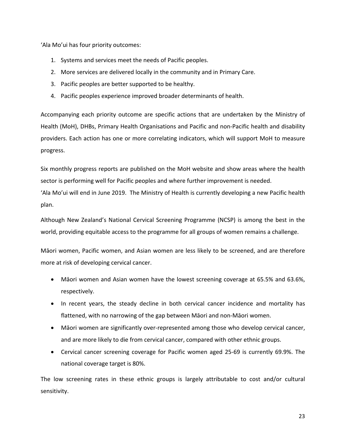'Ala Mo'ui has four priority outcomes:

- 1. Systems and services meet the needs of Pacific peoples.
- 2. More services are delivered locally in the community and in Primary Care.
- 3. Pacific peoples are better supported to be healthy.
- 4. Pacific peoples experience improved broader determinants of health.

Accompanying each priority outcome are specific actions that are undertaken by the Ministry of Health (MoH), DHBs, Primary Health Organisations and Pacific and non‐Pacific health and disability providers. Each action has one or more correlating indicators, which will support MoH to measure progress.

Six monthly progress reports are published on the MoH website and show areas where the health sector is performing well for Pacific peoples and where further improvement is needed. 'Ala Mo'ui will end in June 2019. The Ministry of Health is currently developing a new Pacific health plan.

Although New Zealand's National Cervical Screening Programme (NCSP) is among the best in the world, providing equitable access to the programme for all groups of women remains a challenge.

Māori women, Pacific women, and Asian women are less likely to be screened, and are therefore more at risk of developing cervical cancer.

- Māori women and Asian women have the lowest screening coverage at 65.5% and 63.6%, respectively.
- In recent years, the steady decline in both cervical cancer incidence and mortality has flattened, with no narrowing of the gap between Māori and non‐Māori women.
- Māori women are significantly over-represented among those who develop cervical cancer, and are more likely to die from cervical cancer, compared with other ethnic groups.
- Cervical cancer screening coverage for Pacific women aged 25‐69 is currently 69.9%. The national coverage target is 80%.

The low screening rates in these ethnic groups is largely attributable to cost and/or cultural sensitivity.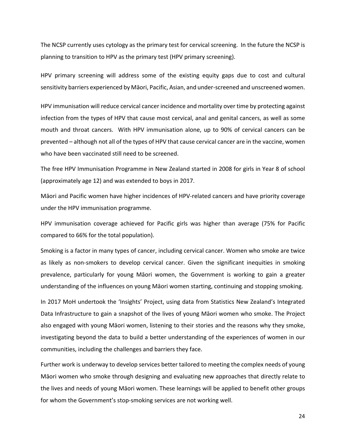The NCSP currently uses cytology as the primary test for cervical screening. In the future the NCSP is planning to transition to HPV as the primary test (HPV primary screening).

HPV primary screening will address some of the existing equity gaps due to cost and cultural sensitivity barriers experienced by Māori, Pacific, Asian, and under‐screened and unscreened women.

HPV immunisation will reduce cervical cancer incidence and mortality over time by protecting against infection from the types of HPV that cause most cervical, anal and genital cancers, as well as some mouth and throat cancers. With HPV immunisation alone, up to 90% of cervical cancers can be prevented – although not all of the types of HPV that cause cervical cancer are in the vaccine, women who have been vaccinated still need to be screened.

The free HPV Immunisation Programme in New Zealand started in 2008 for girls in Year 8 of school (approximately age 12) and was extended to boys in 2017.

Māori and Pacific women have higher incidences of HPV‐related cancers and have priority coverage under the HPV immunisation programme.

HPV immunisation coverage achieved for Pacific girls was higher than average (75% for Pacific compared to 66% for the total population).

Smoking is a factor in many types of cancer, including cervical cancer. Women who smoke are twice as likely as non-smokers to develop cervical cancer. Given the significant inequities in smoking prevalence, particularly for young Māori women, the Government is working to gain a greater understanding of the influences on young Māori women starting, continuing and stopping smoking.

In 2017 MoH undertook the 'Insights' Project, using data from Statistics New Zealand's Integrated Data Infrastructure to gain a snapshot of the lives of young Māori women who smoke. The Project also engaged with young Māori women, listening to their stories and the reasons why they smoke, investigating beyond the data to build a better understanding of the experiences of women in our communities, including the challenges and barriers they face.

Further work is underway to develop services better tailored to meeting the complex needs of young Māori women who smoke through designing and evaluating new approaches that directly relate to the lives and needs of young Māori women. These learnings will be applied to benefit other groups for whom the Government's stop-smoking services are not working well.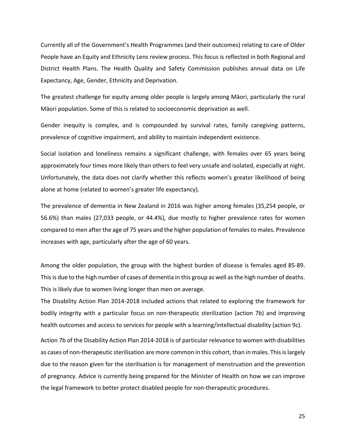Currently all of the Government's Health Programmes (and their outcomes) relating to care of Older People have an Equity and Ethnicity Lens review process. This focus is reflected in both Regional and District Health Plans. The Health Quality and Safety Commission publishes annual data on Life Expectancy, Age, Gender, Ethnicity and Deprivation.

The greatest challenge for equity among older people is largely among Māori, particularly the rural Māori population. Some of this is related to socioeconomic deprivation as well.

Gender inequity is complex, and is compounded by survival rates, family caregiving patterns, prevalence of cognitive impairment, and ability to maintain independent existence.

Social isolation and loneliness remains a significant challenge, with females over 65 years being approximately four times more likely than others to feel very unsafe and isolated, especially at night. Unfortunately, the data does not clarify whether this reflects women's greater likelihood of being alone at home (related to women's greater life expectancy).

The prevalence of dementia in New Zealand in 2016 was higher among females (35,254 people, or 56.6%) than males (27,033 people, or 44.4%), due mostly to higher prevalence rates for women compared to men after the age of 75 years and the higher population of females to males. Prevalence increases with age, particularly after the age of 60 years.

Among the older population, the group with the highest burden of disease is females aged 85‐89. This is due to the high number of cases of dementia in this group as well as the high number of deaths. This is likely due to women living longer than men on average.

The Disability Action Plan 2014‐2018 included actions that related to exploring the framework for bodily integrity with a particular focus on non‐therapeutic sterilization (action 7b) and improving health outcomes and access to services for people with a learning/intellectual disability (action 9c).

Action 7b of the Disability Action Plan 2014‐2018 is of particular relevance to women with disabilities as cases of non-therapeutic sterilisation are more common in this cohort, than in males. This is largely due to the reason given for the sterilisation is for management of menstruation and the prevention of pregnancy. Advice is currently being prepared for the Minister of Health on how we can improve the legal framework to better protect disabled people for non-therapeutic procedures.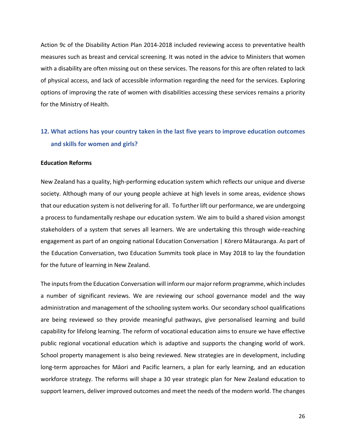Action 9c of the Disability Action Plan 2014‐2018 included reviewing access to preventative health measures such as breast and cervical screening. It was noted in the advice to Ministers that women with a disability are often missing out on these services. The reasons for this are often related to lack of physical access, and lack of accessible information regarding the need for the services. Exploring options of improving the rate of women with disabilities accessing these services remains a priority for the Ministry of Health.

# **12. What actions has your country taken in the last five years to improve education outcomes and skills for women and girls?**

#### **Education Reforms**

New Zealand has a quality, high‐performing education system which reflects our unique and diverse society. Although many of our young people achieve at high levels in some areas, evidence shows that our education system is not delivering for all. To further lift our performance, we are undergoing a process to fundamentally reshape our education system. We aim to build a shared vision amongst stakeholders of a system that serves all learners. We are undertaking this through wide-reaching engagement as part of an ongoing national Education Conversation | Kōrero Mātauranga. As part of the Education Conversation, two Education Summits took place in May 2018 to lay the foundation for the future of learning in New Zealand.

The inputs from the Education Conversation will inform our major reform programme, which includes a number of significant reviews. We are reviewing our school governance model and the way administration and management of the schooling system works. Our secondary school qualifications are being reviewed so they provide meaningful pathways, give personalised learning and build capability for lifelong learning. The reform of vocational education aims to ensure we have effective public regional vocational education which is adaptive and supports the changing world of work. School property management is also being reviewed. New strategies are in development, including long-term approaches for Māori and Pacific learners, a plan for early learning, and an education workforce strategy. The reforms will shape a 30 year strategic plan for New Zealand education to support learners, deliver improved outcomes and meet the needs of the modern world. The changes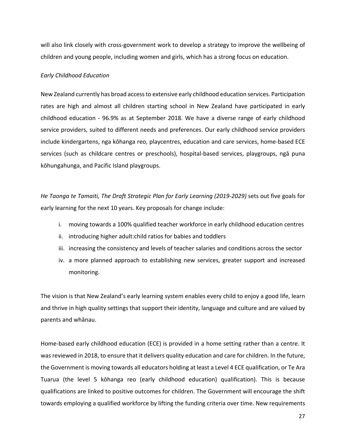will also link closely with cross-government work to develop a strategy to improve the wellbeing of children and young people, including women and girls, which has a strong focus on education.

### *Early Childhood Education*

New Zealand currently has broad access to extensive early childhood education services. Participation rates are high and almost all children starting school in New Zealand have participated in early childhood education - 96.9% as at September 2018. We have a diverse range of early childhood service providers, suited to different needs and preferences. Our early childhood service providers include kindergartens, nga kōhanga reo, playcentres, education and care services, home‐based ECE services (such as childcare centres or preschools), hospital‐based services, playgroups, ngā puna kōhungahunga, and Pacific Island playgroups.

*He Taonga te Tamaiti, The Draft Strategic Plan for Early Learning (2019‐2029)* sets out five goals for early learning for the next 10 years. Key proposals for change include:

- i. moving towards a 100% qualified teacher workforce in early childhood education centres
- ii. introducing higher adult:child ratios for babies and toddlers
- iii. increasing the consistency and levels of teacher salaries and conditions across the sector
- iv. a more planned approach to establishing new services, greater support and increased monitoring.

The vision is that New Zealand's early learning system enables every child to enjoy a good life, learn and thrive in high quality settings that support their identity, language and culture and are valued by parents and whānau.

Home-based early childhood education (ECE) is provided in a home setting rather than a centre. It was reviewed in 2018, to ensure that it delivers quality education and care for children. In the future, the Government is moving towards all educators holding at least a Level 4 ECE qualification, or Te Ara Tuarua (the level 5 kōhanga reo (early childhood education) qualification). This is because qualifications are linked to positive outcomes for children. The Government will encourage the shift towards employing a qualified workforce by lifting the funding criteria over time. New requirements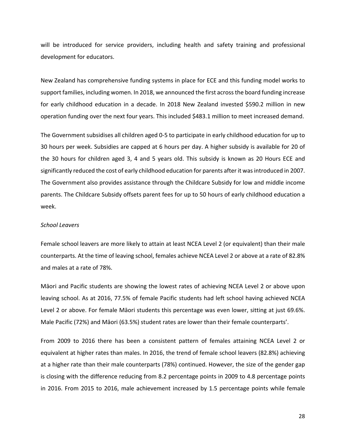will be introduced for service providers, including health and safety training and professional development for educators.

New Zealand has comprehensive funding systems in place for ECE and this funding model works to support families, including women. In 2018, we announced the first across the board funding increase for early childhood education in a decade. In 2018 New Zealand invested \$590.2 million in new operation funding over the next four years. This included \$483.1 million to meet increased demand.

The Government subsidises all children aged 0‐5 to participate in early childhood education for up to 30 hours per week. Subsidies are capped at 6 hours per day. A higher subsidy is available for 20 of the 30 hours for children aged 3, 4 and 5 years old. This subsidy is known as 20 Hours ECE and significantly reduced the cost of early childhood education for parents after it was introduced in 2007. The Government also provides assistance through the Childcare Subsidy for low and middle income parents. The Childcare Subsidy offsets parent fees for up to 50 hours of early childhood education a week.

### *School Leavers*

Female school leavers are more likely to attain at least NCEA Level 2 (or equivalent) than their male counterparts. At the time of leaving school, females achieve NCEA Level 2 or above at a rate of 82.8% and males at a rate of 78%.

Māori and Pacific students are showing the lowest rates of achieving NCEA Level 2 or above upon leaving school. As at 2016, 77.5% of female Pacific students had left school having achieved NCEA Level 2 or above. For female Māori students this percentage was even lower, sitting at just 69.6%. Male Pacific (72%) and Māori (63.5%) student rates are lower than their female counterparts'.

From 2009 to 2016 there has been a consistent pattern of females attaining NCEA Level 2 or equivalent at higher rates than males. In 2016, the trend of female school leavers (82.8%) achieving at a higher rate than their male counterparts (78%) continued. However, the size of the gender gap is closing with the difference reducing from 8.2 percentage points in 2009 to 4.8 percentage points in 2016. From 2015 to 2016, male achievement increased by 1.5 percentage points while female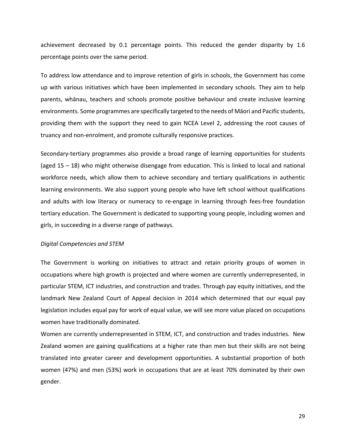achievement decreased by 0.1 percentage points. This reduced the gender disparity by 1.6 percentage points over the same period.

To address low attendance and to improve retention of girls in schools, the Government has come up with various initiatives which have been implemented in secondary schools. They aim to help parents, whānau, teachers and schools promote positive behaviour and create inclusive learning environments. Some programmes are specifically targeted to the needs of Māori and Pacific students, providing them with the support they need to gain NCEA Level 2, addressing the root causes of truancy and non‐enrolment, and promote culturally responsive practices.

Secondary-tertiary programmes also provide a broad range of learning opportunities for students (aged 15 – 18) who might otherwise disengage from education. This is linked to local and national workforce needs, which allow them to achieve secondary and tertiary qualifications in authentic learning environments. We also support young people who have left school without qualifications and adults with low literacy or numeracy to re-engage in learning through fees-free foundation tertiary education. The Government is dedicated to supporting young people, including women and girls, in succeeding in a diverse range of pathways.

## *Digital Competencies and STEM*

The Government is working on initiatives to attract and retain priority groups of women in occupations where high growth is projected and where women are currently underrepresented, in particular STEM, ICT industries, and construction and trades. Through pay equity initiatives, and the landmark New Zealand Court of Appeal decision in 2014 which determined that our equal pay legislation includes equal pay for work of equal value, we will see more value placed on occupations women have traditionally dominated.

Women are currently underrepresented in STEM, ICT, and construction and trades industries. New Zealand women are gaining qualifications at a higher rate than men but their skills are not being translated into greater career and development opportunities. A substantial proportion of both women (47%) and men (53%) work in occupations that are at least 70% dominated by their own gender.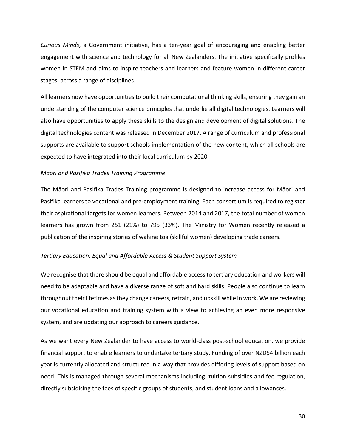*Curious Minds*, a Government initiative, has a ten‐year goal of encouraging and enabling better engagement with science and technology for all New Zealanders. The initiative specifically profiles women in STEM and aims to inspire teachers and learners and feature women in different career stages, across a range of disciplines.

All learners now have opportunities to build their computational thinking skills, ensuring they gain an understanding of the computer science principles that underlie all digital technologies. Learners will also have opportunities to apply these skills to the design and development of digital solutions. The digital technologies content was released in December 2017. A range of curriculum and professional supports are available to support schools implementation of the new content, which all schools are expected to have integrated into their local curriculum by 2020.

#### *Māori and Pasifika Trades Training Programme*

The Māori and Pasifika Trades Training programme is designed to increase access for Māori and Pasifika learners to vocational and pre‐employment training. Each consortium is required to register their aspirational targets for women learners. Between 2014 and 2017, the total number of women learners has grown from 251 (21%) to 795 (33%). The Ministry for Women recently released a publication of the inspiring stories of wāhine toa (skillful women) developing trade careers.

#### *Tertiary Education: Equal and Affordable Access & Student Support System*

We recognise that there should be equal and affordable access to tertiary education and workers will need to be adaptable and have a diverse range of soft and hard skills. People also continue to learn throughout their lifetimes as they change careers, retrain, and upskill while in work. We are reviewing our vocational education and training system with a view to achieving an even more responsive system, and are updating our approach to careers guidance.

As we want every New Zealander to have access to world‐class post‐school education, we provide financial support to enable learners to undertake tertiary study. Funding of over NZD\$4 billion each year is currently allocated and structured in a way that provides differing levels of support based on need. This is managed through several mechanisms including: tuition subsidies and fee regulation, directly subsidising the fees of specific groups of students, and student loans and allowances.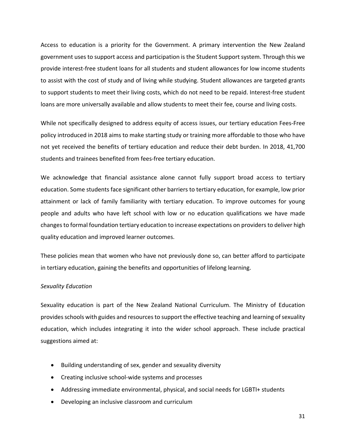Access to education is a priority for the Government. A primary intervention the New Zealand government uses to support access and participation is the Student Support system. Through this we provide interest‐free student loans for all students and student allowances for low income students to assist with the cost of study and of living while studying. Student allowances are targeted grants to support students to meet their living costs, which do not need to be repaid. Interest-free student loans are more universally available and allow students to meet their fee, course and living costs.

While not specifically designed to address equity of access issues, our tertiary education Fees‐Free policy introduced in 2018 aims to make starting study or training more affordable to those who have not yet received the benefits of tertiary education and reduce their debt burden. In 2018, 41,700 students and trainees benefited from fees‐free tertiary education.

We acknowledge that financial assistance alone cannot fully support broad access to tertiary education. Some students face significant other barriers to tertiary education, for example, low prior attainment or lack of family familiarity with tertiary education. To improve outcomes for young people and adults who have left school with low or no education qualifications we have made changes to formal foundation tertiary education to increase expectations on providers to deliver high quality education and improved learner outcomes.

These policies mean that women who have not previously done so, can better afford to participate in tertiary education, gaining the benefits and opportunities of lifelong learning.

## *Sexuality Education*

Sexuality education is part of the New Zealand National Curriculum. The Ministry of Education provides schools with guides and resources to support the effective teaching and learning of sexuality education, which includes integrating it into the wider school approach. These include practical suggestions aimed at:

- Building understanding of sex, gender and sexuality diversity
- Creating inclusive school-wide systems and processes
- Addressing immediate environmental, physical, and social needs for LGBTI+ students
- Developing an inclusive classroom and curriculum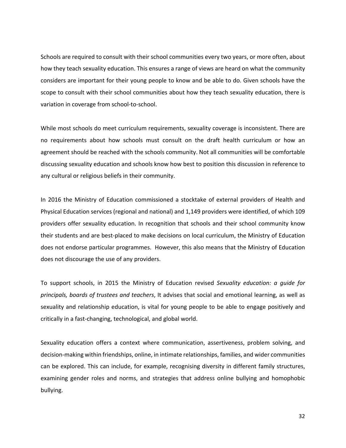Schools are required to consult with their school communities every two years, or more often, about how they teach sexuality education. This ensures a range of views are heard on what the community considers are important for their young people to know and be able to do. Given schools have the scope to consult with their school communities about how they teach sexuality education, there is variation in coverage from school‐to‐school.

While most schools do meet curriculum requirements, sexuality coverage is inconsistent. There are no requirements about how schools must consult on the draft health curriculum or how an agreement should be reached with the schools community. Not all communities will be comfortable discussing sexuality education and schools know how best to position this discussion in reference to any cultural or religious beliefs in their community.

In 2016 the Ministry of Education commissioned a stocktake of external providers of Health and Physical Education services (regional and national) and 1,149 providers were identified, of which 109 providers offer sexuality education. In recognition that schools and their school community know their students and are best‐placed to make decisions on local curriculum, the Ministry of Education does not endorse particular programmes. However, this also means that the Ministry of Education does not discourage the use of any providers.

To support schools, in 2015 the Ministry of Education revised *Sexuality education: a guide for principals, boards of trustees and teachers*, It advises that social and emotional learning, as well as sexuality and relationship education, is vital for young people to be able to engage positively and critically in a fast‐changing, technological, and global world.

Sexuality education offers a context where communication, assertiveness, problem solving, and decision‐making within friendships, online, in intimate relationships, families, and wider communities can be explored. This can include, for example, recognising diversity in different family structures, examining gender roles and norms, and strategies that address online bullying and homophobic bullying.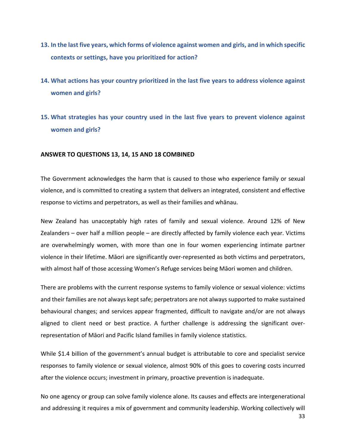- **13. In the last five years, which forms of violence against women and girls, and in which specific contexts or settings, have you prioritized for action?**
- **14. What actions has your country prioritized in the last five years to address violence against women and girls?**
- **15. What strategies has your country used in the last five years to prevent violence against women and girls?**

### **ANSWER TO QUESTIONS 13, 14, 15 AND 18 COMBINED**

The Government acknowledges the harm that is caused to those who experience family or sexual violence, and is committed to creating a system that delivers an integrated, consistent and effective response to victims and perpetrators, as well as their families and whānau.

New Zealand has unacceptably high rates of family and sexual violence. Around 12% of New Zealanders – over half a million people – are directly affected by family violence each year. Victims are overwhelmingly women, with more than one in four women experiencing intimate partner violence in their lifetime. Māori are significantly over‐represented as both victims and perpetrators, with almost half of those accessing Women's Refuge services being Māori women and children.

There are problems with the current response systems to family violence or sexual violence: victims and their families are not always kept safe; perpetrators are not always supported to make sustained behavioural changes; and services appear fragmented, difficult to navigate and/or are not always aligned to client need or best practice. A further challenge is addressing the significant over‐ representation of Māori and Pacific Island families in family violence statistics.

While \$1.4 billion of the government's annual budget is attributable to core and specialist service responses to family violence or sexual violence, almost 90% of this goes to covering costs incurred after the violence occurs; investment in primary, proactive prevention is inadequate.

No one agency or group can solve family violence alone. Its causes and effects are intergenerational and addressing it requires a mix of government and community leadership. Working collectively will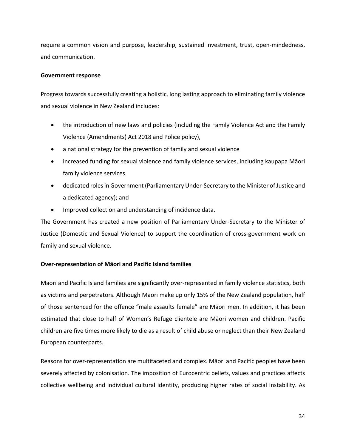require a common vision and purpose, leadership, sustained investment, trust, open-mindedness, and communication.

## **Government response**

Progress towards successfully creating a holistic, long lasting approach to eliminating family violence and sexual violence in New Zealand includes:

- the introduction of new laws and policies (including the Family Violence Act and the Family Violence (Amendments) Act 2018 and Police policy),
- a national strategy for the prevention of family and sexual violence
- increased funding for sexual violence and family violence services, including kaupapa Māori family violence services
- dedicated roles in Government (Parliamentary Under-Secretary to the Minister of Justice and a dedicated agency); and
- Improved collection and understanding of incidence data.

The Government has created a new position of Parliamentary Under-Secretary to the Minister of Justice (Domestic and Sexual Violence) to support the coordination of cross-government work on family and sexual violence.

## **Over‐representation of Māori and Pacific Island families**

Māori and Pacific Island families are significantly over‐represented in family violence statistics, both as victims and perpetrators. Although Māori make up only 15% of the New Zealand population, half of those sentenced for the offence "male assaults female" are Māori men. In addition, it has been estimated that close to half of Women's Refuge clientele are Māori women and children. Pacific children are five times more likely to die as a result of child abuse or neglect than their New Zealand European counterparts.

Reasons for over‐representation are multifaceted and complex. Māori and Pacific peoples have been severely affected by colonisation. The imposition of Eurocentric beliefs, values and practices affects collective wellbeing and individual cultural identity, producing higher rates of social instability. As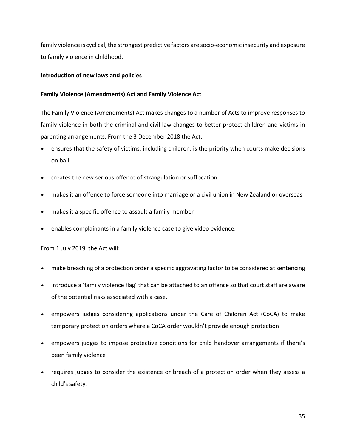family violence is cyclical, the strongest predictive factors are socio‐economic insecurity and exposure to family violence in childhood.

## **Introduction of new laws and policies**

## **Family Violence (Amendments) Act and Family Violence Act**

The Family Violence (Amendments) Act makes changes to a number of Acts to improve responses to family violence in both the criminal and civil law changes to better protect children and victims in parenting arrangements. From the 3 December 2018 the Act:

- ensures that the safety of victims, including children, is the priority when courts make decisions on bail
- creates the new serious offence of strangulation or suffocation
- makes it an offence to force someone into marriage or a civil union in New Zealand or overseas
- makes it a specific offence to assault a family member
- enables complainants in a family violence case to give video evidence.

From 1 July 2019, the Act will:

- make breaching of a protection order a specific aggravating factor to be considered at sentencing
- introduce a 'family violence flag' that can be attached to an offence so that court staff are aware of the potential risks associated with a case.
- empowers judges considering applications under the Care of Children Act (CoCA) to make temporary protection orders where a CoCA order wouldn't provide enough protection
- empowers judges to impose protective conditions for child handover arrangements if there's been family violence
- requires judges to consider the existence or breach of a protection order when they assess a child's safety.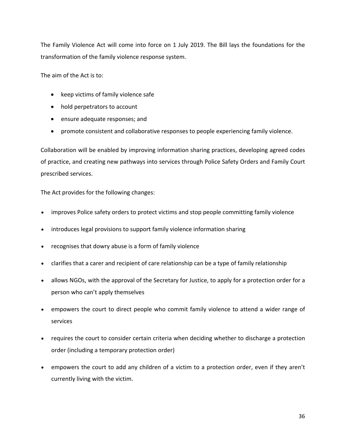The Family Violence Act will come into force on 1 July 2019. The Bill lays the foundations for the transformation of the family violence response system.

The aim of the Act is to:

- keep victims of family violence safe
- hold perpetrators to account
- ensure adequate responses; and
- promote consistent and collaborative responses to people experiencing family violence.

Collaboration will be enabled by improving information sharing practices, developing agreed codes of practice, and creating new pathways into services through Police Safety Orders and Family Court prescribed services.

The Act provides for the following changes:

- improves Police safety orders to protect victims and stop people committing family violence
- introduces legal provisions to support family violence information sharing
- recognises that dowry abuse is a form of family violence
- clarifies that a carer and recipient of care relationship can be a type of family relationship
- allows NGOs, with the approval of the Secretary for Justice, to apply for a protection order for a person who can't apply themselves
- empowers the court to direct people who commit family violence to attend a wider range of services
- requires the court to consider certain criteria when deciding whether to discharge a protection order (including a temporary protection order)
- empowers the court to add any children of a victim to a protection order, even if they aren't currently living with the victim.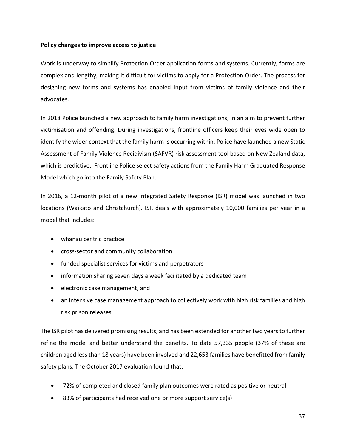## **Policy changes to improve access to justice**

Work is underway to simplify Protection Order application forms and systems. Currently, forms are complex and lengthy, making it difficult for victims to apply for a Protection Order. The process for designing new forms and systems has enabled input from victims of family violence and their advocates.

In 2018 Police launched a new approach to family harm investigations, in an aim to prevent further victimisation and offending. During investigations, frontline officers keep their eyes wide open to identify the wider context that the family harm is occurring within. Police have launched a new Static Assessment of Family Violence Recidivism (SAFVR) risk assessment tool based on New Zealand data, which is predictive. Frontline Police select safety actions from the Family Harm Graduated Response Model which go into the Family Safety Plan.

In 2016, a 12-month pilot of a new Integrated Safety Response (ISR) model was launched in two locations (Waikato and Christchurch). ISR deals with approximately 10,000 families per year in a model that includes:

- whānau centric practice
- cross-sector and community collaboration
- funded specialist services for victims and perpetrators
- information sharing seven days a week facilitated by a dedicated team
- electronic case management, and
- an intensive case management approach to collectively work with high risk families and high risk prison releases.

The ISR pilot has delivered promising results, and has been extended for another two years to further refine the model and better understand the benefits. To date 57,335 people (37% of these are children aged less than 18 years) have been involved and 22,653 families have benefitted from family safety plans. The October 2017 evaluation found that:

- 72% of completed and closed family plan outcomes were rated as positive or neutral
- 83% of participants had received one or more support service(s)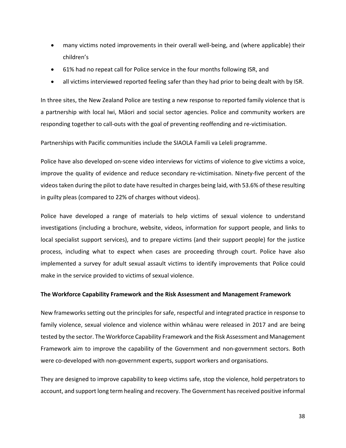- many victims noted improvements in their overall well-being, and (where applicable) their children's
- 61% had no repeat call for Police service in the four months following ISR, and
- all victims interviewed reported feeling safer than they had prior to being dealt with by ISR.

In three sites, the New Zealand Police are testing a new response to reported family violence that is a partnership with local Iwi, Māori and social sector agencies. Police and community workers are responding together to call-outs with the goal of preventing reoffending and re-victimisation.

Partnerships with Pacific communities include the SIAOLA Famili va Leleli programme.

Police have also developed on-scene video interviews for victims of violence to give victims a voice, improve the quality of evidence and reduce secondary re-victimisation. Ninety-five percent of the videos taken during the pilot to date have resulted in charges being laid, with 53.6% of these resulting in guilty pleas (compared to 22% of charges without videos).

Police have developed a range of materials to help victims of sexual violence to understand investigations (including a brochure, website, videos, information for support people, and links to local specialist support services), and to prepare victims (and their support people) for the justice process, including what to expect when cases are proceeding through court. Police have also implemented a survey for adult sexual assault victims to identify improvements that Police could make in the service provided to victims of sexual violence.

#### **The Workforce Capability Framework and the Risk Assessment and Management Framework**

New frameworks setting out the principles for safe, respectful and integrated practice in response to family violence, sexual violence and violence within whānau were released in 2017 and are being tested by the sector. The Workforce Capability Framework and the Risk Assessment and Management Framework aim to improve the capability of the Government and non‐government sectors. Both were co-developed with non-government experts, support workers and organisations.

They are designed to improve capability to keep victims safe, stop the violence, hold perpetrators to account, and support long term healing and recovery. The Government has received positive informal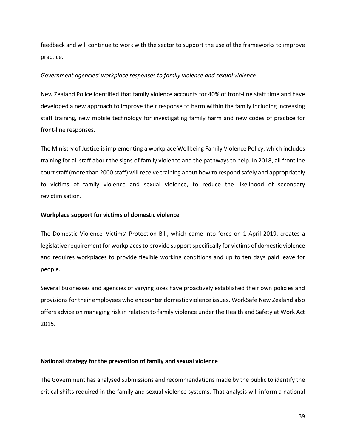feedback and will continue to work with the sector to support the use of the frameworks to improve practice.

### *Government agencies' workplace responses to family violence and sexual violence*

New Zealand Police identified that family violence accounts for 40% of front‐line staff time and have developed a new approach to improve their response to harm within the family including increasing staff training, new mobile technology for investigating family harm and new codes of practice for front‐line responses.

The Ministry of Justice is implementing a workplace Wellbeing Family Violence Policy, which includes training for all staff about the signs of family violence and the pathways to help. In 2018, all frontline court staff (more than 2000 staff) will receive training about how to respond safely and appropriately to victims of family violence and sexual violence, to reduce the likelihood of secondary revictimisation.

### **Workplace support for victims of domestic violence**

The Domestic Violence–Victims' Protection Bill, which came into force on 1 April 2019, creates a legislative requirement for workplaces to provide support specifically for victims of domestic violence and requires workplaces to provide flexible working conditions and up to ten days paid leave for people.

Several businesses and agencies of varying sizes have proactively established their own policies and provisions for their employees who encounter domestic violence issues. WorkSafe New Zealand also offers advice on managing risk in relation to family violence under the Health and Safety at Work Act 2015.

#### **National strategy for the prevention of family and sexual violence**

The Government has analysed submissions and recommendations made by the public to identify the critical shifts required in the family and sexual violence systems. That analysis will inform a national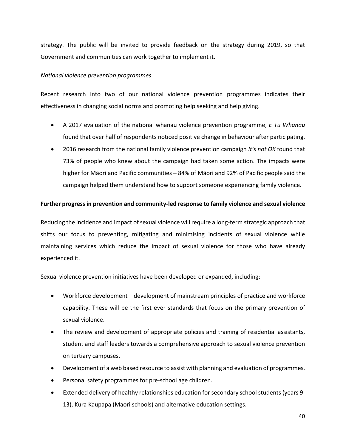strategy. The public will be invited to provide feedback on the strategy during 2019, so that Government and communities can work together to implement it.

### *National violence prevention programmes*

Recent research into two of our national violence prevention programmes indicates their effectiveness in changing social norms and promoting help seeking and help giving.

- A 2017 evaluation of the national whānau violence prevention programme, *E Tū Whānau* found that over half of respondents noticed positive change in behaviour after participating.
- 2016 research from the national family violence prevention campaign *It's not OK* found that 73% of people who knew about the campaign had taken some action. The impacts were higher for Māori and Pacific communities – 84% of Māori and 92% of Pacific people said the campaign helped them understand how to support someone experiencing family violence.

## **Further progress in prevention and community‐led response to family violence and sexual violence**

Reducing the incidence and impact of sexual violence will require a long-term strategic approach that shifts our focus to preventing, mitigating and minimising incidents of sexual violence while maintaining services which reduce the impact of sexual violence for those who have already experienced it.

Sexual violence prevention initiatives have been developed or expanded, including:

- Workforce development development of mainstream principles of practice and workforce capability. These will be the first ever standards that focus on the primary prevention of sexual violence.
- The review and development of appropriate policies and training of residential assistants, student and staff leaders towards a comprehensive approach to sexual violence prevention on tertiary campuses.
- Development of a web based resource to assist with planning and evaluation of programmes.
- Personal safety programmes for pre-school age children.
- Extended delivery of healthy relationships education for secondary school students (years 9-13), Kura Kaupapa (Maori schools) and alternative education settings.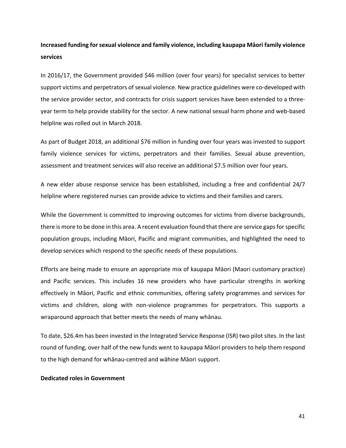## **Increased funding for sexual violence and family violence, including kaupapa Māori family violence services**

In 2016/17, the Government provided \$46 million (over four years) for specialist services to better support victims and perpetrators of sexual violence. New practice guidelines were co-developed with the service provider sector, and contracts for crisis support services have been extended to a three‐ year term to help provide stability for the sector. A new national sexual harm phone and web‐based helpline was rolled out in March 2018.

As part of Budget 2018, an additional \$76 million in funding over four years was invested to support family violence services for victims, perpetrators and their families. Sexual abuse prevention, assessment and treatment services will also receive an additional \$7.5 million over four years.

A new elder abuse response service has been established, including a free and confidential 24/7 helpline where registered nurses can provide advice to victims and their families and carers.

While the Government is committed to improving outcomes for victims from diverse backgrounds, there is more to be done in this area. A recent evaluation found that there are service gaps for specific population groups, including Māori, Pacific and migrant communities, and highlighted the need to develop services which respond to the specific needs of these populations.

Efforts are being made to ensure an appropriate mix of kaupapa Māori (Maori customary practice) and Pacific services. This includes 16 new providers who have particular strengths in working effectively in Māori, Pacific and ethnic communities, offering safety programmes and services for victims and children, along with non-violence programmes for perpetrators. This supports a wraparound approach that better meets the needs of many whānau.

To date, \$26.4m has been invested in the Integrated Service Response (ISR) two pilot sites. In the last round of funding, over half of the new funds went to kaupapa Māori providers to help them respond to the high demand for whānau‐centred and wāhine Māori support.

#### **Dedicated roles in Government**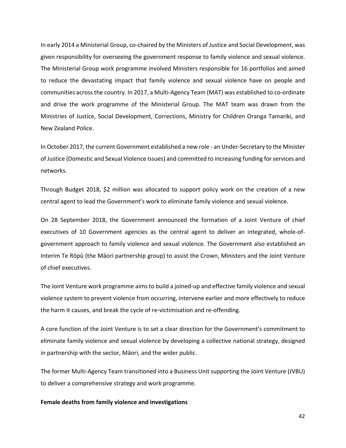In early 2014 a Ministerial Group, co-chaired by the Ministers of Justice and Social Development, was given responsibility for overseeing the government response to family violence and sexual violence. The Ministerial Group work programme involved Ministers responsible for 16 portfolios and aimed to reduce the devastating impact that family violence and sexual violence have on people and communities across the country. In 2017, a Multi‐Agency Team (MAT) was established to co‐ordinate and drive the work programme of the Ministerial Group. The MAT team was drawn from the Ministries of Justice, Social Development, Corrections, Ministry for Children Oranga Tamariki, and New Zealand Police.

In October 2017, the current Government established a new role ‐ an Under‐Secretary to the Minister of Justice (Domestic and Sexual Violence Issues) and committed to increasing funding for services and networks.

Through Budget 2018, \$2 million was allocated to support policy work on the creation of a new central agent to lead the Government's work to eliminate family violence and sexual violence.

On 28 September 2018, the Government announced the formation of a Joint Venture of chief executives of 10 Government agencies as the central agent to deliver an integrated, whole-ofgovernment approach to family violence and sexual violence. The Government also established an Interim Te Rōpū (the Māori partnership group) to assist the Crown, Ministers and the Joint Venture of chief executives.

The Joint Venture work programme aims to build a joined‐up and effective family violence and sexual violence system to prevent violence from occurring, intervene earlier and more effectively to reduce the harm it causes, and break the cycle of re‐victimisation and re‐offending.

A core function of the Joint Venture is to set a clear direction for the Government's commitment to eliminate family violence and sexual violence by developing a collective national strategy, designed in partnership with the sector, Māori, and the wider public.

The former Multi‐Agency Team transitioned into a Business Unit supporting the Joint Venture (JVBU) to deliver a comprehensive strategy and work programme.

#### **Female deaths from family violence and investigations**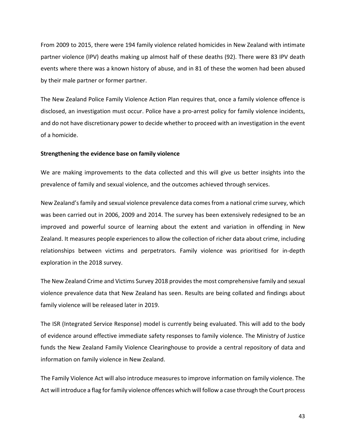From 2009 to 2015, there were 194 family violence related homicides in New Zealand with intimate partner violence (IPV) deaths making up almost half of these deaths (92). There were 83 IPV death events where there was a known history of abuse, and in 81 of these the women had been abused by their male partner or former partner.

The New Zealand Police Family Violence Action Plan requires that, once a family violence offence is disclosed, an investigation must occur. Police have a pro‐arrest policy for family violence incidents, and do not have discretionary power to decide whether to proceed with an investigation in the event of a homicide.

#### **Strengthening the evidence base on family violence**

We are making improvements to the data collected and this will give us better insights into the prevalence of family and sexual violence, and the outcomes achieved through services.

New Zealand's family and sexual violence prevalence data comes from a national crime survey, which was been carried out in 2006, 2009 and 2014. The survey has been extensively redesigned to be an improved and powerful source of learning about the extent and variation in offending in New Zealand. It measures people experiences to allow the collection of richer data about crime, including relationships between victims and perpetrators. Family violence was prioritised for in‐depth exploration in the 2018 survey.

The New Zealand Crime and Victims Survey 2018 provides the most comprehensive family and sexual violence prevalence data that New Zealand has seen. Results are being collated and findings about family violence will be released later in 2019.

The ISR (Integrated Service Response) model is currently being evaluated. This will add to the body of evidence around effective immediate safety responses to family violence. The Ministry of Justice funds the New Zealand Family Violence Clearinghouse to provide a central repository of data and information on family violence in New Zealand.

The Family Violence Act will also introduce measures to improve information on family violence. The Act will introduce a flag for family violence offences which will follow a case through the Court process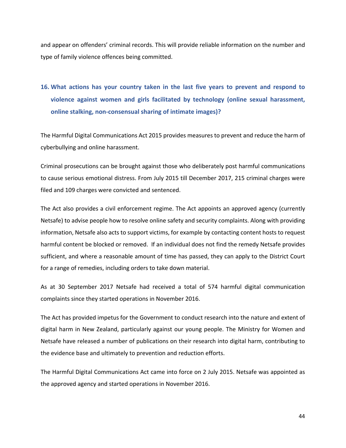and appear on offenders' criminal records. This will provide reliable information on the number and type of family violence offences being committed.

# **16. What actions has your country taken in the last five years to prevent and respond to violence against women and girls facilitated by technology (online sexual harassment, online stalking, non‐consensual sharing of intimate images)?**

The Harmful Digital Communications Act 2015 provides measures to prevent and reduce the harm of cyberbullying and online harassment.

Criminal prosecutions can be brought against those who deliberately post harmful communications to cause serious emotional distress. From July 2015 till December 2017, 215 criminal charges were filed and 109 charges were convicted and sentenced.

The Act also provides a civil enforcement regime. The Act appoints an approved agency (currently Netsafe) to advise people how to resolve online safety and security complaints. Along with providing information, Netsafe also acts to support victims, for example by contacting content hosts to request harmful content be blocked or removed. If an individual does not find the remedy Netsafe provides sufficient, and where a reasonable amount of time has passed, they can apply to the District Court for a range of remedies, including orders to take down material.

As at 30 September 2017 Netsafe had received a total of 574 harmful digital communication complaints since they started operations in November 2016.

The Act has provided impetus for the Government to conduct research into the nature and extent of digital harm in New Zealand, particularly against our young people. The Ministry for Women and Netsafe have released a number of publications on their research into digital harm, contributing to the evidence base and ultimately to prevention and reduction efforts.

The Harmful Digital Communications Act came into force on 2 July 2015. Netsafe was appointed as the approved agency and started operations in November 2016.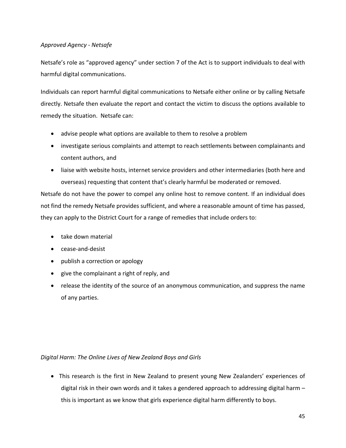## *Approved Agency ‐ Netsafe*

Netsafe's role as "approved agency" under section 7 of the Act is to support individuals to deal with harmful digital communications.

Individuals can report harmful digital communications to Netsafe either online or by calling Netsafe directly. Netsafe then evaluate the report and contact the victim to discuss the options available to remedy the situation. Netsafe can:

- advise people what options are available to them to resolve a problem
- investigate serious complaints and attempt to reach settlements between complainants and content authors, and
- liaise with website hosts, internet service providers and other intermediaries (both here and overseas) requesting that content that's clearly harmful be moderated or removed.

Netsafe do not have the power to compel any online host to remove content. If an individual does not find the remedy Netsafe provides sufficient, and where a reasonable amount of time has passed, they can apply to the District Court for a range of remedies that include orders to:

- take down material
- cease-and-desist
- publish a correction or apology
- give the complainant a right of reply, and
- release the identity of the source of an anonymous communication, and suppress the name of any parties.

## *Digital Harm: The Online Lives of New Zealand Boys and Girls*

• This research is the first in New Zealand to present young New Zealanders' experiences of digital risk in their own words and it takes a gendered approach to addressing digital harm – this is important as we know that girls experience digital harm differently to boys.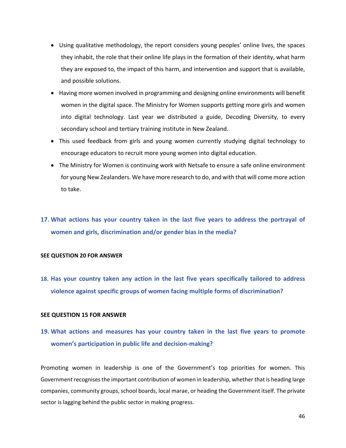- Using qualitative methodology, the report considers young peoples' online lives, the spaces they inhabit, the role that their online life plays in the formation of their identity, what harm they are exposed to, the impact of this harm, and intervention and support that is available, and possible solutions.
- Having more women involved in programming and designing online environments will benefit women in the digital space. The Ministry for Women supports getting more girls and women into digital technology. Last year we distributed a guide, Decoding Diversity, to every secondary school and tertiary training institute in New Zealand.
- This used feedback from girls and young women currently studying digital technology to encourage educators to recruit more young women into digital education.
- The Ministry for Women is continuing work with Netsafe to ensure a safe online environment for young New Zealanders. We have more research to do, and with that will come more action to take.

## **17. What actions has your country taken in the last five years to address the portrayal of women and girls, discrimination and/or gender bias in the media?**

## **SEE QUESTION 20 FOR ANSWER**

**18. Has your country taken any action in the last five years specifically tailored to address violence against specific groups of women facing multiple forms of discrimination?**

## **SEE QUESTION 15 FOR ANSWER**

# **19. What actions and measures has your country taken in the last five years to promote women's participation in public life and decision‐making?**

Promoting women in leadership is one of the Government's top priorities for women. This Government recognises the important contribution of women in leadership, whether that is heading large companies, community groups, school boards, local marae, or heading the Government itself. The private sector is lagging behind the public sector in making progress.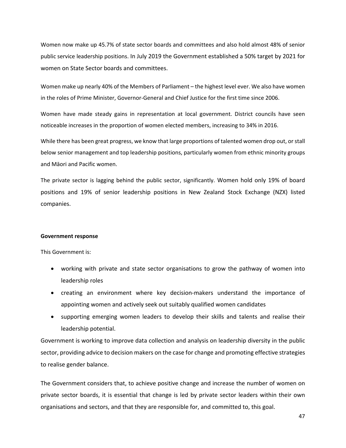Women now make up 45.7% of state sector boards and committees and also hold almost 48% of senior public service leadership positions. In July 2019 the Government established a 50% target by 2021 for women on State Sector boards and committees.

Women make up nearly 40% of the Members of Parliament – the highest level ever. We also have women in the roles of Prime Minister, Governor‐General and Chief Justice for the first time since 2006.

Women have made steady gains in representation at local government. District councils have seen noticeable increases in the proportion of women elected members, increasing to 34% in 2016.

While there has been great progress, we know that large proportions of talented women drop out, or stall below senior management and top leadership positions, particularly women from ethnic minority groups and Māori and Pacific women.

The private sector is lagging behind the public sector, significantly. Women hold only 19% of board positions and 19% of senior leadership positions in New Zealand Stock Exchange (NZX) listed companies.

#### **Government response**

This Government is:

- working with private and state sector organisations to grow the pathway of women into leadership roles
- creating an environment where key decision‐makers understand the importance of appointing women and actively seek out suitably qualified women candidates
- supporting emerging women leaders to develop their skills and talents and realise their leadership potential.

Government is working to improve data collection and analysis on leadership diversity in the public sector, providing advice to decision makers on the case for change and promoting effective strategies to realise gender balance.

The Government considers that, to achieve positive change and increase the number of women on private sector boards, it is essential that change is led by private sector leaders within their own organisations and sectors, and that they are responsible for, and committed to, this goal.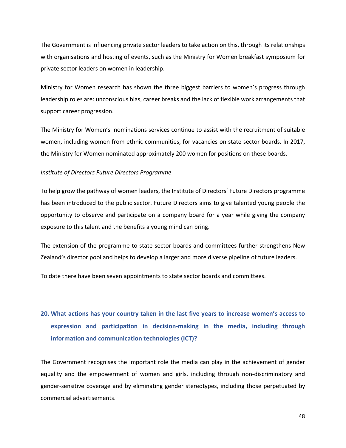The Government is influencing private sector leaders to take action on this, through its relationships with organisations and hosting of events, such as the Ministry for Women breakfast symposium for private sector leaders on women in leadership.

Ministry for Women research has shown the three biggest barriers to women's progress through leadership roles are: unconscious bias, career breaks and the lack of flexible work arrangements that support career progression.

The Ministry for Women's nominations services continue to assist with the recruitment of suitable women, including women from ethnic communities, for vacancies on state sector boards. In 2017, the Ministry for Women nominated approximately 200 women for positions on these boards.

#### *Institute of Directors Future Directors Programme*

To help grow the pathway of women leaders, the Institute of Directors' Future Directors programme has been introduced to the public sector. Future Directors aims to give talented young people the opportunity to observe and participate on a company board for a year while giving the company exposure to this talent and the benefits a young mind can bring.

The extension of the programme to state sector boards and committees further strengthens New Zealand's director pool and helps to develop a larger and more diverse pipeline of future leaders.

To date there have been seven appointments to state sector boards and committees.

# **20. What actions has your country taken in the last five years to increase women's access to expression and participation in decision‐making in the media, including through information and communication technologies (ICT)?**

The Government recognises the important role the media can play in the achievement of gender equality and the empowerment of women and girls, including through non-discriminatory and gender‐sensitive coverage and by eliminating gender stereotypes, including those perpetuated by commercial advertisements.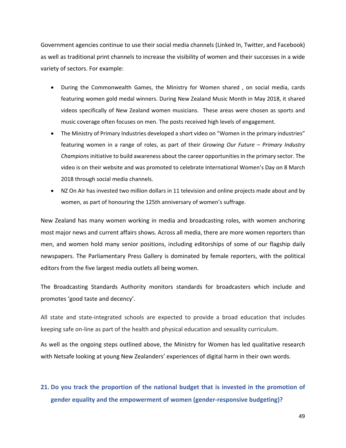Government agencies continue to use their social media channels (Linked In, Twitter, and Facebook) as well as traditional print channels to increase the visibility of women and their successes in a wide variety of sectors. For example:

- During the Commonwealth Games, the Ministry for Women shared, on social media, cards featuring women gold medal winners. During New Zealand Music Month in May 2018, it shared videos specifically of New Zealand women musicians. These areas were chosen as sports and music coverage often focuses on men. The posts received high levels of engagement.
- The Ministry of Primary Industries developed a short video on "Women in the primary industries" featuring women in a range of roles, as part of their *Growing Our Future – Primary Industry Champion*s initiative to build awareness about the career opportunities in the primary sector. The video is on their website and was promoted to celebrate International Women's Day on 8 March 2018 through social media channels.
- NZ On Air has invested two million dollars in 11 television and online projects made about and by women, as part of honouring the 125th anniversary of women's suffrage.

New Zealand has many women working in media and broadcasting roles, with women anchoring most major news and current affairs shows. Across all media, there are more women reporters than men, and women hold many senior positions, including editorships of some of our flagship daily newspapers. The Parliamentary Press Gallery is dominated by female reporters, with the political editors from the five largest media outlets all being women.

The Broadcasting Standards Authority monitors standards for broadcasters which include and promotes 'good taste and decency'.

All state and state-integrated schools are expected to provide a broad education that includes keeping safe on‐line as part of the health and physical education and sexuality curriculum.

As well as the ongoing steps outlined above, the Ministry for Women has led qualitative research with Netsafe looking at young New Zealanders' experiences of digital harm in their own words.

## **21. Do you track the proportion of the national budget that is invested in the promotion of gender equality and the empowerment of women (gender‐responsive budgeting)?**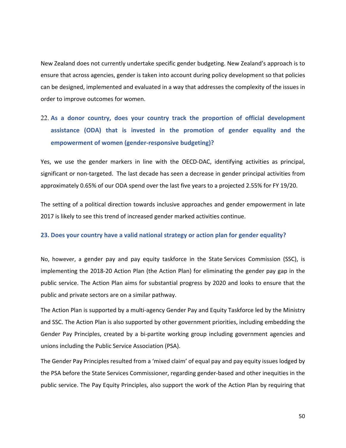New Zealand does not currently undertake specific gender budgeting. New Zealand's approach is to ensure that across agencies, gender is taken into account during policy development so that policies can be designed, implemented and evaluated in a way that addresses the complexity of the issues in order to improve outcomes for women.

# 22. **As a donor country, does your country track the proportion of official development assistance (ODA) that is invested in the promotion of gender equality and the empowerment of women (gender‐responsive budgeting)?**

Yes, we use the gender markers in line with the OECD-DAC, identifying activities as principal, significant or non-targeted. The last decade has seen a decrease in gender principal activities from approximately 0.65% of our ODA spend over the last five years to a projected 2.55% for FY 19/20.

The setting of a political direction towards inclusive approaches and gender empowerment in late 2017 is likely to see this trend of increased gender marked activities continue.

## **23. Does your country have a valid national strategy or action plan for gender equality?**

No, however, a gender pay and pay equity taskforce in the State Services Commission (SSC), is implementing the 2018‐20 Action Plan (the Action Plan) for eliminating the gender pay gap in the public service. The Action Plan aims for substantial progress by 2020 and looks to ensure that the public and private sectors are on a similar pathway.

The Action Plan is supported by a multi‐agency Gender Pay and Equity Taskforce led by the Ministry and SSC. The Action Plan is also supported by other government priorities, including embedding the Gender Pay Principles, created by a bi-partite working group including government agencies and unions including the Public Service Association (PSA).

The Gender Pay Principles resulted from a 'mixed claim' of equal pay and pay equity issues lodged by the PSA before the State Services Commissioner, regarding gender‐based and other inequities in the public service. The Pay Equity Principles, also support the work of the Action Plan by requiring that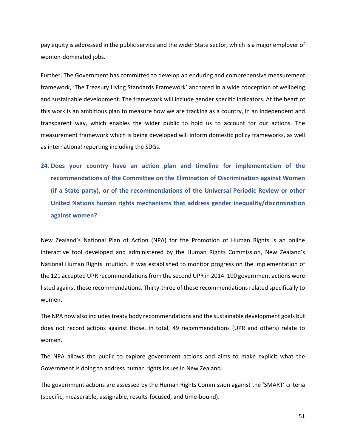pay equity is addressed in the public service and the wider State sector, which is a major employer of women‐dominated jobs.

Further, The Government has committed to develop an enduring and comprehensive measurement framework, 'The Treasury Living Standards Framework' anchored in a wide conception of wellbeing and sustainable development. The framework will include gender specific indicators. At the heart of this work is an ambitious plan to measure how we are tracking as a country, in an independent and transparent way, which enables the wider public to hold us to account for our actions. The measurement framework which is being developed will inform domestic policy frameworks, as well as international reporting including the SDGs.

**24. Does your country have an action plan and timeline for implementation of the recommendations of the Committee on the Elimination of Discrimination against Women (if a State party), or of the recommendations of the Universal Periodic Review or other United Nations human rights mechanisms that address gender inequality/discrimination against women?** 

New Zealand's National Plan of Action (NPA) for the Promotion of Human Rights is an online interactive tool developed and administered by the Human Rights Commission, New Zealand's National Human Rights Intuition. It was established to monitor progress on the implementation of the 121 accepted UPR recommendations from the second UPR in 2014. 100 government actions were listed against these recommendations. Thirty‐three of these recommendations related specifically to women.

The NPA now also includes treaty body recommendations and the sustainable development goals but does not record actions against those. In total, 49 recommendations (UPR and others) relate to women.

The NPA allows the public to explore government actions and aims to make explicit what the Government is doing to address human rights issues in New Zealand.

The government actions are assessed by the Human Rights Commission against the 'SMART' criteria (specific, measurable, assignable, results‐focused, and time‐bound).

51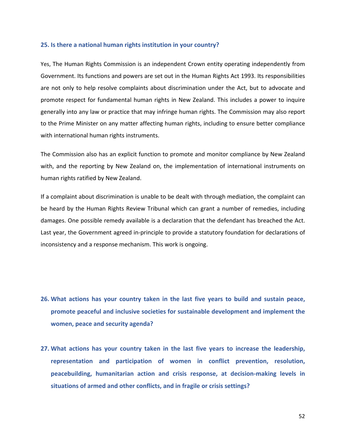#### **25. Is there a national human rights institution in your country?**

Yes, The Human Rights Commission is an independent Crown entity operating independently from Government. Its functions and powers are set out in the Human Rights Act 1993. Its responsibilities are not only to help resolve complaints about discrimination under the Act, but to advocate and promote respect for fundamental human rights in New Zealand. This includes a power to inquire generally into any law or practice that may infringe human rights. The Commission may also report to the Prime Minister on any matter affecting human rights, including to ensure better compliance with international human rights instruments.

The Commission also has an explicit function to promote and monitor compliance by New Zealand with, and the reporting by New Zealand on, the implementation of international instruments on human rights ratified by New Zealand.

If a complaint about discrimination is unable to be dealt with through mediation, the complaint can be heard by the Human Rights Review Tribunal which can grant a number of remedies, including damages. One possible remedy available is a declaration that the defendant has breached the Act. Last year, the Government agreed in‐principle to provide a statutory foundation for declarations of inconsistency and a response mechanism. This work is ongoing.

- **26. What actions has your country taken in the last five years to build and sustain peace, promote peaceful and inclusive societies for sustainable development and implement the women, peace and security agenda?**
- **27. What actions has your country taken in the last five years to increase the leadership, representation and participation of women in conflict prevention, resolution, peacebuilding, humanitarian action and crisis response, at decision‐making levels in situations of armed and other conflicts, and in fragile or crisis settings?**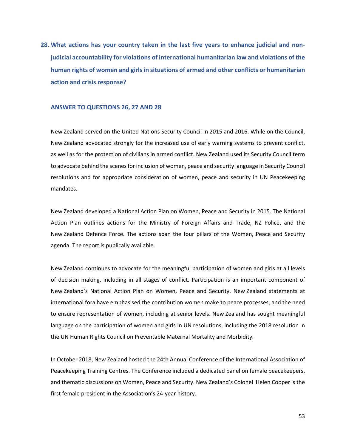**28. What actions has your country taken in the last five years to enhance judicial and non‐ judicial accountability for violations of international humanitarian law and violations of the human rights of women and girls in situations of armed and other conflicts or humanitarian action and crisis response?** 

#### **ANSWER TO QUESTIONS 26, 27 AND 28**

New Zealand served on the United Nations Security Council in 2015 and 2016. While on the Council, New Zealand advocated strongly for the increased use of early warning systems to prevent conflict, as well as for the protection of civilians in armed conflict. New Zealand used its Security Council term to advocate behind the scenes for inclusion of women, peace and security language in Security Council resolutions and for appropriate consideration of women, peace and security in UN Peacekeeping mandates.

New Zealand developed a National Action Plan on Women, Peace and Security in 2015. The National Action Plan outlines actions for the Ministry of Foreign Affairs and Trade, NZ Police, and the New Zealand Defence Force. The actions span the four pillars of the Women, Peace and Security agenda. The report is publically available.

New Zealand continues to advocate for the meaningful participation of women and girls at all levels of decision making, including in all stages of conflict. Participation is an important component of New Zealand's National Action Plan on Women, Peace and Security. New Zealand statements at international fora have emphasised the contribution women make to peace processes, and the need to ensure representation of women, including at senior levels. New Zealand has sought meaningful language on the participation of women and girls in UN resolutions, including the 2018 resolution in the UN Human Rights Council on Preventable Maternal Mortality and Morbidity.

In October 2018, New Zealand hosted the 24th Annual Conference of the International Association of Peacekeeping Training Centres. The Conference included a dedicated panel on female peacekeepers, and thematic discussions on Women, Peace and Security. New Zealand's Colonel Helen Cooper is the first female president in the Association's 24‐year history.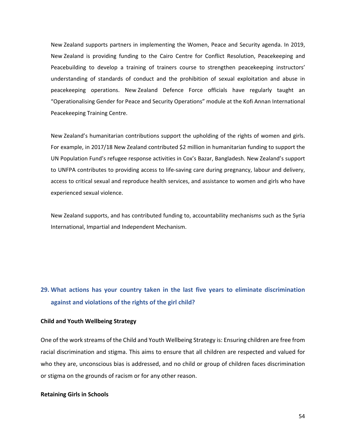New Zealand supports partners in implementing the Women, Peace and Security agenda. In 2019, New Zealand is providing funding to the Cairo Centre for Conflict Resolution, Peacekeeping and Peacebuilding to develop a training of trainers course to strengthen peacekeeping instructors' understanding of standards of conduct and the prohibition of sexual exploitation and abuse in peacekeeping operations. New Zealand Defence Force officials have regularly taught an "Operationalising Gender for Peace and Security Operations" module at the Kofi Annan International Peacekeeping Training Centre.

New Zealand's humanitarian contributions support the upholding of the rights of women and girls. For example, in 2017/18 New Zealand contributed \$2 million in humanitarian funding to support the UN Population Fund's refugee response activities in Cox's Bazar, Bangladesh. New Zealand's support to UNFPA contributes to providing access to life‐saving care during pregnancy, labour and delivery, access to critical sexual and reproduce health services, and assistance to women and girls who have experienced sexual violence.

New Zealand supports, and has contributed funding to, accountability mechanisms such as the Syria International, Impartial and Independent Mechanism.

# **29. What actions has your country taken in the last five years to eliminate discrimination against and violations of the rights of the girl child?**

#### **Child and Youth Wellbeing Strategy**

One of the work streams of the Child and Youth Wellbeing Strategy is: Ensuring children are free from racial discrimination and stigma. This aims to ensure that all children are respected and valued for who they are, unconscious bias is addressed, and no child or group of children faces discrimination or stigma on the grounds of racism or for any other reason.

#### **Retaining Girls in Schools**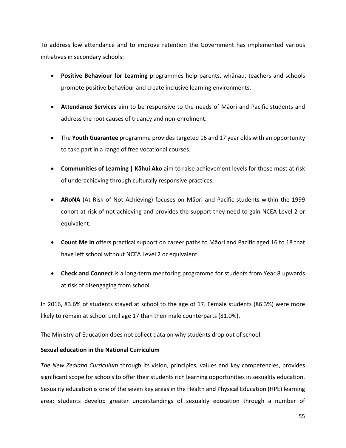To address low attendance and to improve retention the Government has implemented various initiatives in secondary schools:

- **Positive Behaviour for Learning** programmes help parents, whānau, teachers and schools promote positive behaviour and create inclusive learning environments.
- **Attendance Services** aim to be responsive to the needs of Māori and Pacific students and address the root causes of truancy and non‐enrolment.
- The **Youth Guarantee** programme provides targeted 16 and 17 year olds with an opportunity to take part in a range of free vocational courses.
- **Communities of Learning | Kāhui Ako** aim to raise achievement levels for those most at risk of underachieving through culturally responsive practices.
- **ARoNA** (At Risk of Not Achieving) focuses on Māori and Pacific students within the 1999 cohort at risk of not achieving and provides the support they need to gain NCEA Level 2 or equivalent.
- **Count Me In** offers practical support on career paths to Māori and Pacific aged 16 to 18 that have left school without NCEA Level 2 or equivalent.
- **Check and Connect** is a long-term mentoring programme for students from Year 8 upwards at risk of disengaging from school.

In 2016, 83.6% of students stayed at school to the age of 17. Female students (86.3%) were more likely to remain at school until age 17 than their male counterparts (81.0%).

The Ministry of Education does not collect data on why students drop out of school.

## **Sexual education in the National Curriculum**

*The New Zealand Curriculum* through its vision, principles, values and key competencies, provides significant scope for schools to offer their students rich learning opportunities in sexuality education. Sexuality education is one of the seven key areas in the Health and Physical Education (HPE) learning area; students develop greater understandings of sexuality education through a number of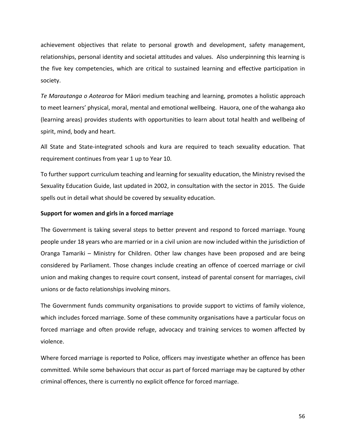achievement objectives that relate to personal growth and development, safety management, relationships, personal identity and societal attitudes and values. Also underpinning this learning is the five key competencies, which are critical to sustained learning and effective participation in society.

*Te Marautanga o Aotearoa* for Māori medium teaching and learning, promotes a holistic approach to meet learners' physical, moral, mental and emotional wellbeing. Hauora, one of the wahanga ako (learning areas) provides students with opportunities to learn about total health and wellbeing of spirit, mind, body and heart.

All State and State‐integrated schools and kura are required to teach sexuality education. That requirement continues from year 1 up to Year 10.

To further support curriculum teaching and learning for sexuality education, the Ministry revised the Sexuality Education Guide, last updated in 2002, in consultation with the sector in 2015. The Guide spells out in detail what should be covered by sexuality education.

#### **Support for women and girls in a forced marriage**

The Government is taking several steps to better prevent and respond to forced marriage. Young people under 18 years who are married or in a civil union are now included within the jurisdiction of Oranga Tamariki – Ministry for Children. Other law changes have been proposed and are being considered by Parliament. Those changes include creating an offence of coerced marriage or civil union and making changes to require court consent, instead of parental consent for marriages, civil unions or de facto relationships involving minors.

The Government funds community organisations to provide support to victims of family violence, which includes forced marriage. Some of these community organisations have a particular focus on forced marriage and often provide refuge, advocacy and training services to women affected by violence.

Where forced marriage is reported to Police, officers may investigate whether an offence has been committed. While some behaviours that occur as part of forced marriage may be captured by other criminal offences, there is currently no explicit offence for forced marriage.

56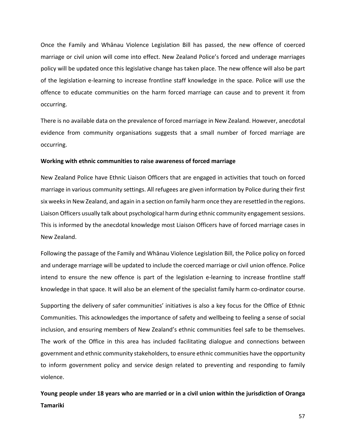Once the Family and Whānau Violence Legislation Bill has passed, the new offence of coerced marriage or civil union will come into effect. New Zealand Police's forced and underage marriages policy will be updated once this legislative change has taken place. The new offence will also be part of the legislation e‐learning to increase frontline staff knowledge in the space. Police will use the offence to educate communities on the harm forced marriage can cause and to prevent it from occurring.

There is no available data on the prevalence of forced marriage in New Zealand. However, anecdotal evidence from community organisations suggests that a small number of forced marriage are occurring.

#### **Working with ethnic communities to raise awareness of forced marriage**

New Zealand Police have Ethnic Liaison Officers that are engaged in activities that touch on forced marriage in various community settings. All refugees are given information by Police during their first six weeks in New Zealand, and again in a section on family harm once they are resettled in the regions. Liaison Officers usually talk about psychological harm during ethnic community engagement sessions. This is informed by the anecdotal knowledge most Liaison Officers have of forced marriage cases in New Zealand.

Following the passage of the Family and Whānau Violence Legislation Bill, the Police policy on forced and underage marriage will be updated to include the coerced marriage or civil union offence. Police intend to ensure the new offence is part of the legislation e-learning to increase frontline staff knowledge in that space. It will also be an element of the specialist family harm co-ordinator course.

Supporting the delivery of safer communities' initiatives is also a key focus for the Office of Ethnic Communities. This acknowledges the importance of safety and wellbeing to feeling a sense of social inclusion, and ensuring members of New Zealand's ethnic communities feel safe to be themselves. The work of the Office in this area has included facilitating dialogue and connections between government and ethnic community stakeholders, to ensure ethnic communities have the opportunity to inform government policy and service design related to preventing and responding to family violence.

**Young people under 18 years who are married or in a civil union within the jurisdiction of Oranga Tamariki**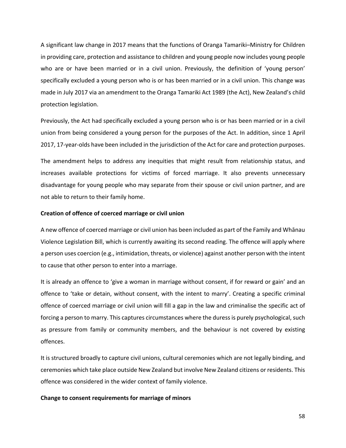A significant law change in 2017 means that the functions of Oranga Tamariki–Ministry for Children in providing care, protection and assistance to children and young people now includes young people who are or have been married or in a civil union. Previously, the definition of 'young person' specifically excluded a young person who is or has been married or in a civil union. This change was made in July 2017 via an amendment to the Oranga Tamariki Act 1989 (the Act), New Zealand's child protection legislation.

Previously, the Act had specifically excluded a young person who is or has been married or in a civil union from being considered a young person for the purposes of the Act. In addition, since 1 April 2017, 17‐year‐olds have been included in the jurisdiction of the Act for care and protection purposes.

The amendment helps to address any inequities that might result from relationship status, and increases available protections for victims of forced marriage. It also prevents unnecessary disadvantage for young people who may separate from their spouse or civil union partner, and are not able to return to their family home.

#### **Creation of offence of coerced marriage or civil union**

A new offence of coerced marriage or civil union has been included as part of the Family and Whānau Violence Legislation Bill, which is currently awaiting its second reading. The offence will apply where a person uses coercion (e.g., intimidation, threats, or violence) against another person with the intent to cause that other person to enter into a marriage.

It is already an offence to 'give a woman in marriage without consent, if for reward or gain' and an offence to 'take or detain, without consent, with the intent to marry'. Creating a specific criminal offence of coerced marriage or civil union will fill a gap in the law and criminalise the specific act of forcing a person to marry. This captures circumstances where the duress is purely psychological, such as pressure from family or community members, and the behaviour is not covered by existing offences.

It is structured broadly to capture civil unions, cultural ceremonies which are not legally binding, and ceremonies which take place outside New Zealand but involve New Zealand citizens or residents. This offence was considered in the wider context of family violence.

## **Change to consent requirements for marriage of minors**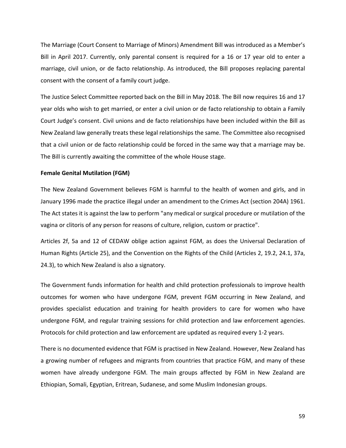The Marriage (Court Consent to Marriage of Minors) Amendment Bill was introduced as a Member's Bill in April 2017. Currently, only parental consent is required for a 16 or 17 year old to enter a marriage, civil union, or de facto relationship. As introduced, the Bill proposes replacing parental consent with the consent of a family court judge.

The Justice Select Committee reported back on the Bill in May 2018. The Bill now requires 16 and 17 year olds who wish to get married, or enter a civil union or de facto relationship to obtain a Family Court Judge's consent. Civil unions and de facto relationships have been included within the Bill as New Zealand law generally treats these legal relationships the same. The Committee also recognised that a civil union or de facto relationship could be forced in the same way that a marriage may be. The Bill is currently awaiting the committee of the whole House stage.

#### **Female Genital Mutilation (FGM)**

The New Zealand Government believes FGM is harmful to the health of women and girls, and in January 1996 made the practice illegal under an amendment to the Crimes Act (section 204A) 1961. The Act states it is against the law to perform "any medical or surgical procedure or mutilation of the vagina or clitoris of any person for reasons of culture, religion, custom or practice".

Articles 2f, 5a and 12 of CEDAW oblige action against FGM, as does the Universal Declaration of Human Rights (Article 25), and the Convention on the Rights of the Child (Articles 2, 19.2, 24.1, 37a, 24.3), to which New Zealand is also a signatory.

The Government funds information for health and child protection professionals to improve health outcomes for women who have undergone FGM, prevent FGM occurring in New Zealand, and provides specialist education and training for health providers to care for women who have undergone FGM, and regular training sessions for child protection and law enforcement agencies. Protocols for child protection and law enforcement are updated as required every 1‐2 years.

There is no documented evidence that FGM is practised in New Zealand. However, New Zealand has a growing number of refugees and migrants from countries that practice FGM, and many of these women have already undergone FGM. The main groups affected by FGM in New Zealand are Ethiopian, Somali, Egyptian, Eritrean, Sudanese, and some Muslim Indonesian groups.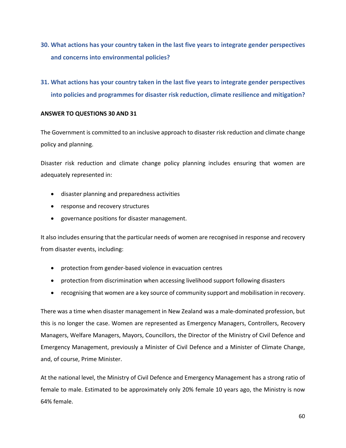- **30. What actions has your country taken in the last five years to integrate gender perspectives and concerns into environmental policies?**
- **31. What actions has your country taken in the last five years to integrate gender perspectives into policies and programmes for disaster risk reduction, climate resilience and mitigation?**

## **ANSWER TO QUESTIONS 30 AND 31**

The Government is committed to an inclusive approach to disaster risk reduction and climate change policy and planning.

Disaster risk reduction and climate change policy planning includes ensuring that women are adequately represented in:

- disaster planning and preparedness activities
- response and recovery structures
- governance positions for disaster management.

It also includes ensuring that the particular needs of women are recognised in response and recovery from disaster events, including:

- protection from gender-based violence in evacuation centres
- protection from discrimination when accessing livelihood support following disasters
- recognising that women are a key source of community support and mobilisation in recovery.

There was a time when disaster management in New Zealand was a male‐dominated profession, but this is no longer the case. Women are represented as Emergency Managers, Controllers, Recovery Managers, Welfare Managers, Mayors, Councillors, the Director of the Ministry of Civil Defence and Emergency Management, previously a Minister of Civil Defence and a Minister of Climate Change, and, of course, Prime Minister.

At the national level, the Ministry of Civil Defence and Emergency Management has a strong ratio of female to male. Estimated to be approximately only 20% female 10 years ago, the Ministry is now 64% female.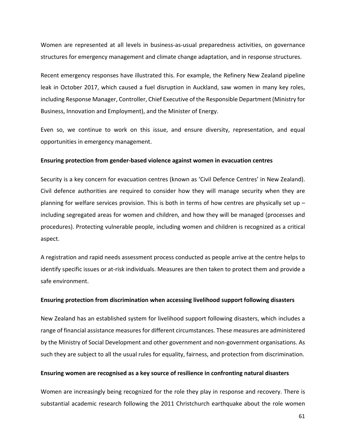Women are represented at all levels in business-as-usual preparedness activities, on governance structures for emergency management and climate change adaptation, and in response structures.

Recent emergency responses have illustrated this. For example, the Refinery New Zealand pipeline leak in October 2017, which caused a fuel disruption in Auckland, saw women in many key roles, including Response Manager, Controller, Chief Executive of the Responsible Department (Ministry for Business, Innovation and Employment), and the Minister of Energy.

Even so, we continue to work on this issue, and ensure diversity, representation, and equal opportunities in emergency management.

#### **Ensuring protection from gender‐based violence against women in evacuation centres**

Security is a key concern for evacuation centres (known as 'Civil Defence Centres' in New Zealand). Civil defence authorities are required to consider how they will manage security when they are planning for welfare services provision. This is both in terms of how centres are physically set up – including segregated areas for women and children, and how they will be managed (processes and procedures). Protecting vulnerable people, including women and children is recognized as a critical aspect.

A registration and rapid needs assessment process conducted as people arrive at the centre helps to identify specific issues or at-risk individuals. Measures are then taken to protect them and provide a safe environment.

#### **Ensuring protection from discrimination when accessing livelihood support following disasters**

New Zealand has an established system for livelihood support following disasters, which includes a range of financial assistance measures for different circumstances. These measures are administered by the Ministry of Social Development and other government and non-government organisations. As such they are subject to all the usual rules for equality, fairness, and protection from discrimination.

#### **Ensuring women are recognised as a key source of resilience in confronting natural disasters**

Women are increasingly being recognized for the role they play in response and recovery. There is substantial academic research following the 2011 Christchurch earthquake about the role women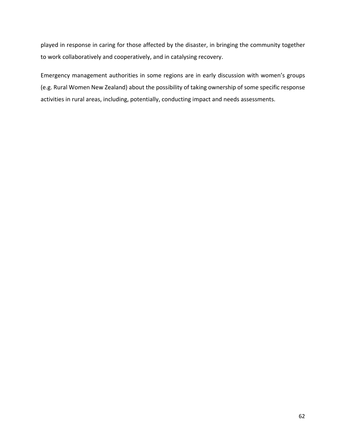played in response in caring for those affected by the disaster, in bringing the community together to work collaboratively and cooperatively, and in catalysing recovery.

Emergency management authorities in some regions are in early discussion with women's groups (e.g. Rural Women New Zealand) about the possibility of taking ownership of some specific response activities in rural areas, including, potentially, conducting impact and needs assessments.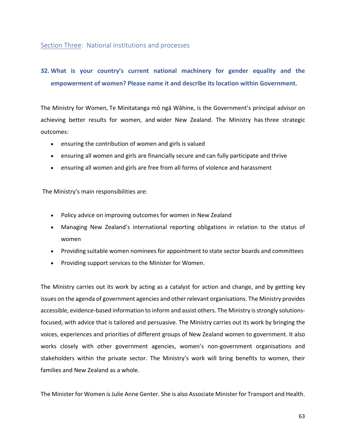## Section Three: National institutions and processes

# **32. What is your country's current national machinery for gender equality and the empowerment of women? Please name it and describe its location within Government.**

The Ministry for Women, Te Minitatanga mō ngā Wāhine, is the Government's principal advisor on achieving better results for women, and wider New Zealand. The Ministry has three strategic outcomes:

- ensuring the contribution of women and girls is valued
- ensuring all women and girls are financially secure and can fully participate and thrive
- ensuring all women and girls are free from all forms of violence and harassment

The Ministry's main responsibilities are:

- Policy advice on improving outcomes for women in New Zealand
- Managing New Zealand's international reporting obligations in relation to the status of women
- Providing suitable women nominees for appointment to state sector boards and committees
- Providing support services to the Minister for Women.

The Ministry carries out its work by acting as a catalyst for action and change, and by getting key issues on the agenda of government agencies and other relevant organisations. The Ministry provides accessible, evidence-based information to inform and assist others. The Ministry is strongly solutionsfocused, with advice that is tailored and persuasive. The Ministry carries out its work by bringing the voices, experiences and priorities of different groups of New Zealand women to government. It also works closely with other government agencies, women's non-government organisations and stakeholders within the private sector. The Ministry's work will bring benefits to women, their families and New Zealand as a whole.

The Minister for Women is Julie Anne Genter. She is also Associate Minister for Transport and Health.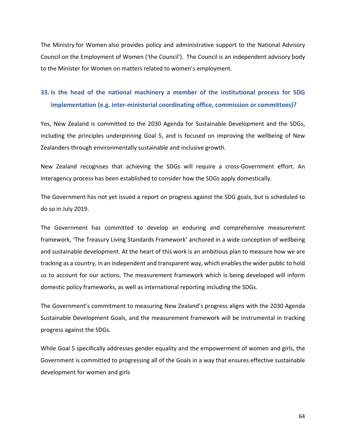The Ministry for Women also provides policy and administrative support to the National Advisory Council on the Employment of Women ('the Council'). The Council is an independent advisory body to the Minister for Women on matters related to women's employment.

## **33. Is the head of the national machinery a member of the institutional process for SDG implementation (e.g. inter-ministerial coordinating office, commission or committees)?**

Yes, New Zealand is committed to the 2030 Agenda for Sustainable Development and the SDGs, including the principles underpinning Goal 5, and is focused on improving the wellbeing of New Zealanders through environmentally sustainable and inclusive growth.

New Zealand recognises that achieving the SDGs will require a cross-Government effort. An interagency process has been established to consider how the SDGs apply domestically.

The Government has not yet issued a report on progress against the SDG goals, but is scheduled to do so in July 2019.

The Government has committed to develop an enduring and comprehensive measurement framework, 'The Treasury Living Standards Framework' anchored in a wide conception of wellbeing and sustainable development. At the heart of this work is an ambitious plan to measure how we are tracking as a country, in an independent and transparent way, which enables the wider public to hold us to account for our actions. The measurement framework which is being developed will inform domestic policy frameworks, as well as international reporting including the SDGs.

The Government's commitment to measuring New Zealand's progress aligns with the 2030 Agenda Sustainable Development Goals, and the measurement framework will be instrumental in tracking progress against the SDGs.

While Goal 5 specifically addresses gender equality and the empowerment of women and girls, the Government is committed to progressing all of the Goals in a way that ensures effective sustainable development for women and girls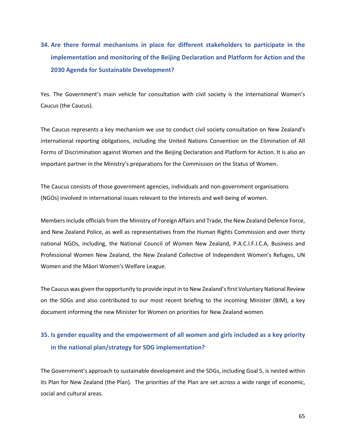# **34. Are there formal mechanisms in place for different stakeholders to participate in the implementation and monitoring of the Beijing Declaration and Platform for Action and the 2030 Agenda for Sustainable Development?**

Yes. The Government's main vehicle for consultation with civil society is the International Women's Caucus (the Caucus).

The Caucus represents a key mechanism we use to conduct civil society consultation on New Zealand's international reporting obligations, including the United Nations Convention on the Elimination of All Forms of Discrimination against Women and the Beijing Declaration and Platform for Action. It is also an important partner in the Ministry's preparations for the Commission on the Status of Women.

The Caucus consists of those government agencies, individuals and non-government organisations (NGOs) involved in international issues relevant to the interests and well‐being of women.

Members include officials from the Ministry of Foreign Affairs and Trade, the New Zealand Defence Force, and New Zealand Police, as well as representatives from the Human Rights Commission and over thirty national NGOs, including, the National Council of Women New Zealand, P.A.C.I.F.I.C.A, Business and Professional Women New Zealand, the New Zealand Collective of Independent Women's Refuges, UN Women and the Māori Women's Welfare League.

The Caucus was given the opportunity to provide input in to New Zealand's first Voluntary National Review on the SDGs and also contributed to our most recent briefing to the incoming Minister (BIM), a key document informing the new Minister for Women on priorities for New Zealand women.

## **35. Is gender equality and the empowerment of all women and girls included as a key priority in the national plan/strategy for SDG implementation?**

The Government's approach to sustainable development and the SDGs, including Goal 5, is nested within its Plan for New Zealand (the Plan). The priorities of the Plan are set across a wide range of economic, social and cultural areas.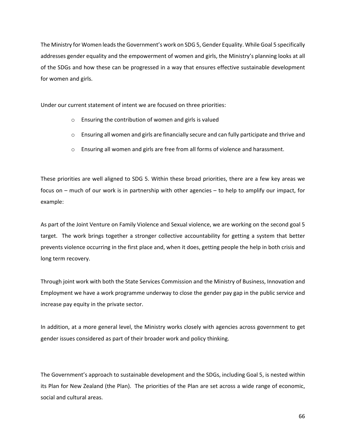The Ministry for Women leads the Government's work on SDG 5, Gender Equality. While Goal 5 specifically addresses gender equality and the empowerment of women and girls, the Ministry's planning looks at all of the SDGs and how these can be progressed in a way that ensures effective sustainable development for women and girls.

Under our current statement of intent we are focused on three priorities:

- o Ensuring the contribution of women and girls is valued
- o Ensuring all women and girls are financially secure and can fully participate and thrive and
- o Ensuring all women and girls are free from all forms of violence and harassment.

These priorities are well aligned to SDG 5. Within these broad priorities, there are a few key areas we focus on – much of our work is in partnership with other agencies – to help to amplify our impact, for example:

As part of the Joint Venture on Family Violence and Sexual violence, we are working on the second goal 5 target. The work brings together a stronger collective accountability for getting a system that better prevents violence occurring in the first place and, when it does, getting people the help in both crisis and long term recovery.

Through joint work with both the State Services Commission and the Ministry of Business, Innovation and Employment we have a work programme underway to close the gender pay gap in the public service and increase pay equity in the private sector.

In addition, at a more general level, the Ministry works closely with agencies across government to get gender issues considered as part of their broader work and policy thinking.

The Government's approach to sustainable development and the SDGs, including Goal 5, is nested within its Plan for New Zealand (the Plan). The priorities of the Plan are set across a wide range of economic, social and cultural areas.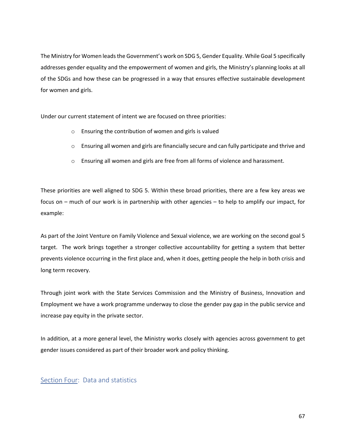The Ministry for Women leads the Government's work on SDG 5, Gender Equality. While Goal 5 specifically addresses gender equality and the empowerment of women and girls, the Ministry's planning looks at all of the SDGs and how these can be progressed in a way that ensures effective sustainable development for women and girls.

Under our current statement of intent we are focused on three priorities:

- o Ensuring the contribution of women and girls is valued
- o Ensuring all women and girls are financially secure and can fully participate and thrive and
- o Ensuring all women and girls are free from all forms of violence and harassment.

These priorities are well aligned to SDG 5. Within these broad priorities, there are a few key areas we focus on – much of our work is in partnership with other agencies – to help to amplify our impact, for example:

As part of the Joint Venture on Family Violence and Sexual violence, we are working on the second goal 5 target. The work brings together a stronger collective accountability for getting a system that better prevents violence occurring in the first place and, when it does, getting people the help in both crisis and long term recovery.

Through joint work with the State Services Commission and the Ministry of Business, Innovation and Employment we have a work programme underway to close the gender pay gap in the public service and increase pay equity in the private sector.

In addition, at a more general level, the Ministry works closely with agencies across government to get gender issues considered as part of their broader work and policy thinking.

## Section Four: Data and statistics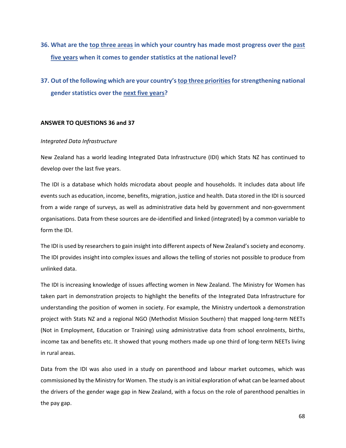- **36. What are the top three areas in which your country has made most progress over the past five years when it comes to gender statistics at the national level?**
- **37. Out of the following which are your country's top three priorities for strengthening national gender statistics over the next five years?**

#### **ANSWER TO QUESTIONS 36 and 37**

#### *Integrated Data Infrastructure*

New Zealand has a world leading Integrated Data Infrastructure (IDI) which Stats NZ has continued to develop over the last five years.

The IDI is a database which holds microdata about people and households. It includes data about life events such as education, income, benefits, migration, justice and health. Data stored in the IDI is sourced from a wide range of surveys, as well as administrative data held by government and non‐government organisations. Data from these sources are de‐identified and linked (integrated) by a common variable to form the IDI.

The IDI is used by researchers to gain insight into different aspects of New Zealand's society and economy. The IDI provides insight into complex issues and allows the telling of stories not possible to produce from unlinked data.

The IDI is increasing knowledge of issues affecting women in New Zealand. The Ministry for Women has taken part in demonstration projects to highlight the benefits of the Integrated Data Infrastructure for understanding the position of women in society. For example, the Ministry undertook a demonstration project with Stats NZ and a regional NGO (Methodist Mission Southern) that mapped long‐term NEETs (Not in Employment, Education or Training) using administrative data from school enrolments, births, income tax and benefits etc. It showed that young mothers made up one third of long-term NEETs living in rural areas.

Data from the IDI was also used in a study on parenthood and labour market outcomes, which was commissioned by the Ministry for Women. The study is an initial exploration of what can be learned about the drivers of the gender wage gap in New Zealand, with a focus on the role of parenthood penalties in the pay gap.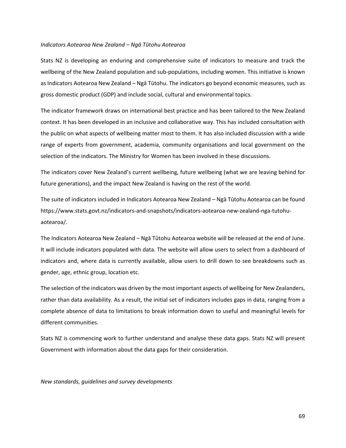#### *Indicators Aotearoa New Zealand – Ngā Tūtohu Aotearoa*

Stats NZ is developing an enduring and comprehensive suite of indicators to measure and track the wellbeing of the New Zealand population and sub-populations, including women. This initiative is known as Indicators Aotearoa New Zealand – Ngā Tūtohu. The indicators go beyond economic measures, such as gross domestic product (GDP) and include social, cultural and environmental topics.

The indicator framework draws on international best practice and has been tailored to the New Zealand context. It has been developed in an inclusive and collaborative way. This has included consultation with the public on what aspects of wellbeing matter most to them. It has also included discussion with a wide range of experts from government, academia, community organisations and local government on the selection of the indicators. The Ministry for Women has been involved in these discussions.

The indicators cover New Zealand's current wellbeing, future wellbeing (what we are leaving behind for future generations), and the impact New Zealand is having on the rest of the world.

The suite of indicators included in Indicators Aotearoa New Zealand – Ngā Tūtohu Aotearoa can be found https://www.stats.govt.nz/indicators‐and‐snapshots/indicators‐aotearoa‐new‐zealand‐nga‐tutohu‐ aotearoa/.

The Indicators Aotearoa New Zealand – Ngā Tūtohu Aotearoa website will be released at the end of June. It will include indicators populated with data. The website will allow users to select from a dashboard of indicators and, where data is currently available, allow users to drill down to see breakdowns such as gender, age, ethnic group, location etc.

The selection of the indicators was driven by the most important aspects of wellbeing for New Zealanders, rather than data availability. As a result, the initial set of indicators includes gaps in data, ranging from a complete absence of data to limitations to break information down to useful and meaningful levels for different communities.

Stats NZ is commencing work to further understand and analyse these data gaps. Stats NZ will present Government with information about the data gaps for their consideration.

*New standards, guidelines and survey developments*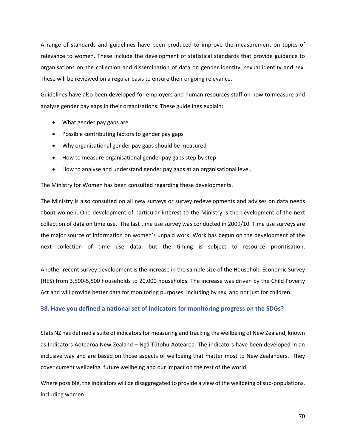A range of standards and guidelines have been produced to improve the measurement on topics of relevance to women. These include the development of statistical standards that provide guidance to organisations on the collection and dissemination of data on gender identity, sexual identity and sex. These will be reviewed on a regular basis to ensure their ongoing relevance.

Guidelines have also been developed for employers and human resources staff on how to measure and analyse gender pay gaps in their organisations. These guidelines explain:

- What gender pay gaps are
- Possible contributing factors to gender pay gaps
- Why organisational gender pay gaps should be measured
- How to measure organisational gender pay gaps step by step
- How to analyse and understand gender pay gaps at an organisational level.

The Ministry for Women has been consulted regarding these developments.

The Ministry is also consulted on all new surveys or survey redevelopments and advises on data needs about women. One development of particular interest to the Ministry is the development of the next collection of data on time use. The last time use survey was conducted in 2009/10. Time use surveys are the major source of information on women's unpaid work. Work has begun on the development of the next collection of time use data, but the timing is subject to resource prioritisation.

Another recent survey development is the increase in the sample size of the Household Economic Survey (HES) from 3,500‐5,500 households to 20,000 households. The increase was driven by the Child Poverty Act and will provide better data for monitoring purposes, including by sex, and not just for children.

## **38. Have you defined a national set of indicators for monitoring progress on the SDGs?**

Stats NZ has defined a suite of indicators for measuring and tracking the wellbeing of New Zealand, known as Indicators Aotearoa New Zealand – Ngā Tūtohu Aotearoa. The indicators have been developed in an inclusive way and are based on those aspects of wellbeing that matter most to New Zealanders. They cover current wellbeing, future wellbeing and our impact on the rest of the world.

Where possible, the indicators will be disaggregated to provide a view of the wellbeing of sub-populations, including women.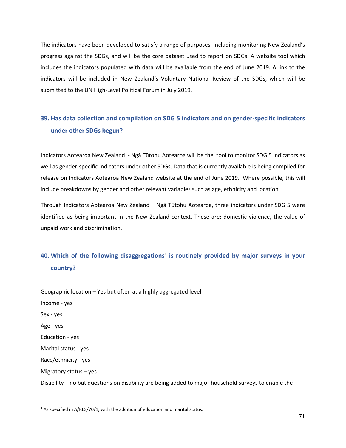The indicators have been developed to satisfy a range of purposes, including monitoring New Zealand's progress against the SDGs, and will be the core dataset used to report on SDGs. A website tool which includes the indicators populated with data will be available from the end of June 2019. A link to the indicators will be included in New Zealand's Voluntary National Review of the SDGs, which will be submitted to the UN High‐Level Political Forum in July 2019.

## **39. Has data collection and compilation on SDG 5 indicators and on gender‐specific indicators under other SDGs begun?**

Indicators Aotearoa New Zealand ‐ Ngā Tūtohu Aotearoa will be the tool to monitor SDG 5 indicators as well as gender‐specific indicators under other SDGs. Data that is currently available is being compiled for release on Indicators Aotearoa New Zealand website at the end of June 2019. Where possible, this will include breakdowns by gender and other relevant variables such as age, ethnicity and location.

Through Indicators Aotearoa New Zealand – Ngā Tūtohu Aotearoa, three indicators under SDG 5 were identified as being important in the New Zealand context. These are: domestic violence, the value of unpaid work and discrimination.

## 40. Which of the following disaggregations<sup>1</sup> is routinely provided by major surveys in your **country?**

Geographic location – Yes but often at a highly aggregated level Income ‐ yes Sex ‐ yes Age ‐ yes Education ‐ yes Marital status ‐ yes Race/ethnicity ‐ yes Migratory status – yes Disability – no but questions on disability are being added to major household surveys to enable the

 $1$  As specified in A/RES/70/1, with the addition of education and marital status.